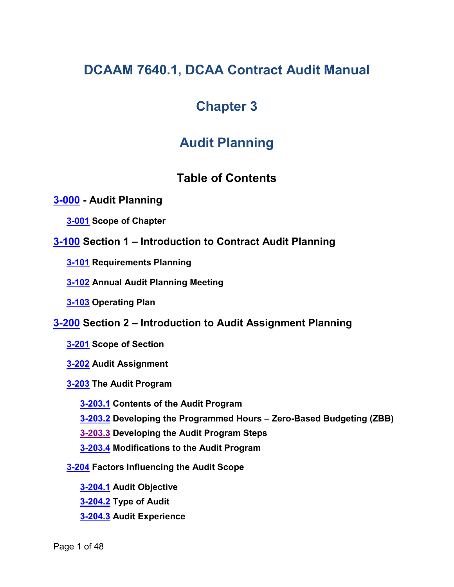# **DCAAM 7640.1, DCAA Contract Audit Manual**

# **Chapter 3**

# **Audit Planning**

# <span id="page-0-9"></span><span id="page-0-5"></span><span id="page-0-3"></span><span id="page-0-2"></span><span id="page-0-1"></span><span id="page-0-0"></span>**Table of Contents**

## **[3-000](#page-2-0) - Audit Planning**

**[3-001](#page-3-0) Scope of Chapter**

- **[3-100](#page-3-1) Section 1 – Introduction to Contract Audit Planning**
	- **[3-101](#page-3-2) Requirements Planning**
	- **[3-102](#page-3-3) Annual Audit Planning Meeting**
	- **[3-103](#page-4-0) Operating Plan**
- <span id="page-0-15"></span><span id="page-0-14"></span><span id="page-0-13"></span><span id="page-0-12"></span><span id="page-0-11"></span><span id="page-0-10"></span><span id="page-0-8"></span><span id="page-0-7"></span><span id="page-0-6"></span><span id="page-0-4"></span>**[3-200](#page-4-1) Section 2 – Introduction to Audit Assignment Planning**
	- **[3-201](#page-4-2) Scope of Section**
	- **[3-202](#page-4-3) Audit Assignment**
	- **[3-203](#page-5-0) The Audit Program**
		- **[3-203.1](#page-5-1) Contents of the Audit Program**
		- **[3-203.2](#page-5-2) Developing the Programmed Hours – Zero-Based Budgeting (ZBB)**
		- **[3-203.3](#page-8-0) Developing the Audit Program Steps**
		- **[3-203.4](#page-8-1) Modifications to the Audit Program**
	- **[3-204](#page-9-0) Factors Influencing the Audit Scope**
		- **[3-204.1](#page-9-1) Audit Objective**
		- **[3-204.2](#page-10-0) Type of Audit**
		- **[3-204.3](#page-10-1) Audit Experience**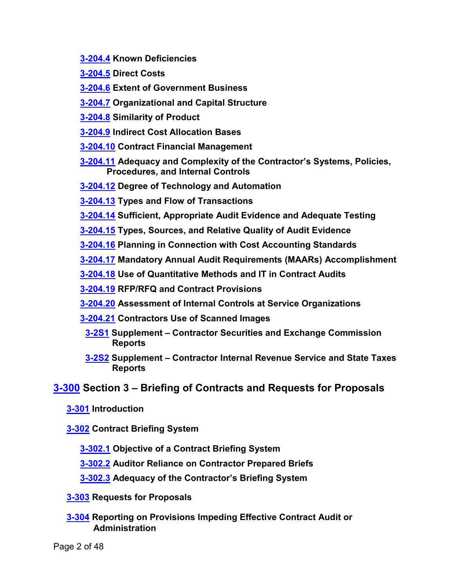- <span id="page-1-0"></span>**[3-204.4](#page-10-2) Known Deficiencies**
- <span id="page-1-1"></span>**[3-204.5](#page-10-3) Direct Costs**
- **[3-204.6](#page-10-4) Extent of Government Business**
- <span id="page-1-2"></span>**[3-204.7](#page-11-0) Organizational and Capital Structure**
- <span id="page-1-3"></span>**[3-204.8](#page-11-1) Similarity of Product**
- <span id="page-1-4"></span>**[3-204.9](#page-11-2) Indirect Cost Allocation Bases**
- **[3-204.10](#page-12-0) Contract Financial Management**
- <span id="page-1-5"></span>**[3-204.11](#page-12-1) Adequacy and Complexity of the Contractor's Systems, Policies, Procedures, and Internal Controls**
- <span id="page-1-6"></span>**[3-204.12](#page-13-0) Degree of Technology and Automation**
- <span id="page-1-7"></span>**[3-204.13](#page-13-1) Types and Flow of Transactions**
- <span id="page-1-8"></span>**[3-204.14](#page-14-0) Sufficient, Appropriate Audit Evidence and Adequate Testing**
- <span id="page-1-9"></span>**[3-204.15](#page-14-1) Types, Sources, and Relative Quality of Audit Evidence**
- <span id="page-1-10"></span>**[3-204.16](#page-20-0) Planning in Connection with Cost Accounting Standards**
- <span id="page-1-11"></span>**[3-204.17](#page-20-1) Mandatory Annual Audit Requirements (MAARs) Accomplishment**
- <span id="page-1-12"></span>**[3-204.18](#page-21-0) Use of Quantitative Methods and IT in Contract Audits**
- **[3-204.19](#page-21-1) RFP/RFQ and Contract Provisions**
- <span id="page-1-13"></span>**[3-204.20](#page-22-0) Assessment of Internal Controls at Service Organizations**
- <span id="page-1-16"></span><span id="page-1-15"></span><span id="page-1-14"></span>**[3-204.21](#page-22-1) Contractors Use of Scanned Images**
	- **[3-2S1](#page-24-0) Supplement – Contractor Securities and Exchange Commission Reports**
	- **[3-2S2](#page-25-0) Supplement – Contractor Internal Revenue Service and State Taxes Reports**

## **[3-300](#page-27-0) Section 3 – Briefing of Contracts and Requests for Proposals**

**[3-301](#page-27-1) Introduction**

**[3-302](#page-27-2) Contract Briefing System**

- <span id="page-1-18"></span><span id="page-1-17"></span>**[3-302.1](#page-27-3) Objective of a Contract Briefing System**
- <span id="page-1-19"></span>**[3-302.2](#page-27-4) Auditor Reliance on Contractor Prepared Briefs**
- <span id="page-1-21"></span><span id="page-1-20"></span>**[3-302.3](#page-28-0) Adequacy of the Contractor's Briefing System**
- **[3-303](#page-29-0) Requests for Proposals**
- <span id="page-1-22"></span>**[3-304](#page-29-1) Reporting on Provisions Impeding Effective Contract Audit or Administration**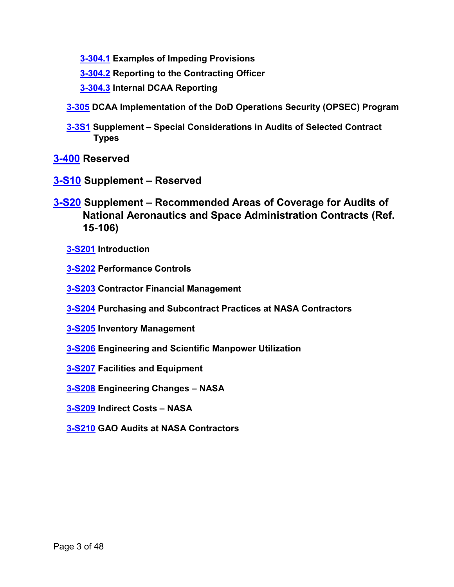- **[3-304.1](#page-29-2) Examples of Impeding Provisions**
- <span id="page-2-3"></span><span id="page-2-2"></span><span id="page-2-1"></span>**[3-304.2](#page-30-0) Reporting to the Contracting Officer**
- **[3-304.3](#page-30-1) Internal DCAA Reporting**
- **[3-305](#page-30-2) DCAA Implementation of the DoD Operations Security (OPSEC) Program**
- <span id="page-2-6"></span><span id="page-2-5"></span><span id="page-2-4"></span>**[3-3S1](#page-32-0) Supplement – Special Considerations in Audits of Selected Contract Types**

**[3-400](#page-38-0) Reserved**

- **[3-S10](#page-39-0) Supplement – Reserved**
- <span id="page-2-17"></span><span id="page-2-16"></span><span id="page-2-15"></span><span id="page-2-14"></span><span id="page-2-13"></span><span id="page-2-12"></span><span id="page-2-11"></span><span id="page-2-10"></span><span id="page-2-9"></span><span id="page-2-8"></span><span id="page-2-7"></span><span id="page-2-0"></span>**[3-S20](#page-39-1) Supplement – Recommended Areas of Coverage for Audits of National Aeronautics and Space Administration Contracts (Ref. 15-106)**
	- **[3-S201](#page-39-2) Introduction**
	- **[3-S202](#page-39-3) Performance Controls**
	- **[3-S203](#page-40-0) Contractor Financial Management**
	- **[3-S204](#page-43-0) Purchasing and Subcontract Practices at NASA Contractors**
	- **[3-S205](#page-45-0) Inventory Management**
	- **[3-S206](#page-45-1) Engineering and Scientific Manpower Utilization**
	- **[3-S207](#page-46-0) Facilities and Equipment**
	- **[3-S208](#page-46-1) Engineering Changes – NASA**
	- **[3-S209](#page-47-0) Indirect Costs – NASA**
	- **[3-S210](#page-47-1) GAO Audits at NASA Contractors**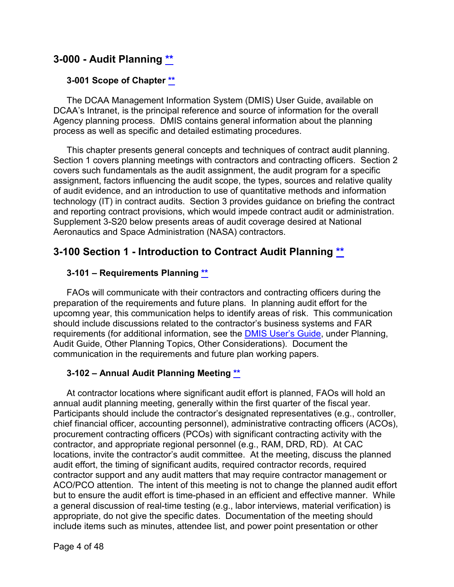## **3-000 - Audit Planning [\\*\\*](#page-0-0)**

#### <span id="page-3-0"></span>**3-001 Scope of Chapter [\\*\\*](#page-0-1)**

The DCAA Management Information System (DMIS) User Guide, available on DCAA's Intranet, is the principal reference and source of information for the overall Agency planning process. DMIS contains general information about the planning process as well as specific and detailed estimating procedures.

This chapter presents general concepts and techniques of contract audit planning. Section 1 covers planning meetings with contractors and contracting officers. Section 2 covers such fundamentals as the audit assignment, the audit program for a specific assignment, factors influencing the audit scope, the types, sources and relative quality of audit evidence, and an introduction to use of quantitative methods and information technology (IT) in contract audits. Section 3 provides guidance on briefing the contract and reporting contract provisions, which would impede contract audit or administration. Supplement 3-S20 below presents areas of audit coverage desired at National Aeronautics and Space Administration (NASA) contractors.

## <span id="page-3-1"></span>**3-100 Section 1 - Introduction to Contract Audit Planning \*\***

## <span id="page-3-2"></span>**3-101 – Requirements Planning [\\*\\*](#page-0-2)**

FAOs will communicate with their contractors and contracting officers during the preparation of the requirements and future plans. In planning audit effort for the upcomng year, this communication helps to identify areas of risk. This communication should include discussions related to the contractor's business systems and FAR requirements (for additional information, see the [DMIS User's Guide,](https://intranet.dcaa.mil/dmisug/SitePages/Home.aspx) under Planning, Audit Guide, Other Planning Topics, Other Considerations). Document the communication in the requirements and future plan working papers.

#### <span id="page-3-3"></span>**3-102 – Annual Audit Planning Meeting [\\*\\*](#page-0-3)**

At contractor locations where significant audit effort is planned, FAOs will hold an annual audit planning meeting, generally within the first quarter of the fiscal year. Participants should include the contractor's designated representatives (e.g., controller, chief financial officer, accounting personnel), administrative contracting officers (ACOs), procurement contracting officers (PCOs) with significant contracting activity with the contractor, and appropriate regional personnel (e.g., RAM, DRD, RD). At CAC locations, invite the contractor's audit committee. At the meeting, discuss the planned audit effort, the timing of significant audits, required contractor records, required contractor support and any audit matters that may require contractor management or ACO/PCO attention. The intent of this meeting is not to change the planned audit effort but to ensure the audit effort is time-phased in an efficient and effective manner. While a general discussion of real-time testing (e.g., labor interviews, material verification) is appropriate, do not give the specific dates. Documentation of the meeting should include items such as minutes, attendee list, and power point presentation or other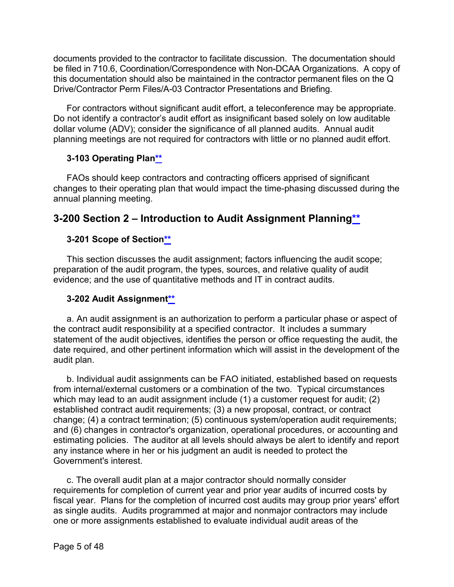documents provided to the contractor to facilitate discussion. The documentation should be filed in 710.6, Coordination/Correspondence with Non-DCAA Organizations. A copy of this documentation should also be maintained in the contractor permanent files on the Q Drive/Contractor Perm Files/A-03 Contractor Presentations and Briefing.

For contractors without significant audit effort, a teleconference may be appropriate. Do not identify a contractor's audit effort as insignificant based solely on low auditable dollar volume (ADV); consider the significance of all planned audits. Annual audit planning meetings are not required for contractors with little or no planned audit effort.

## <span id="page-4-0"></span>**3-103 Operating Pla[n\\*\\*](#page-0-4)**

FAOs should keep contractors and contracting officers apprised of significant changes to their operating plan that would impact the time-phasing discussed during the annual planning meeting.

## <span id="page-4-1"></span>**3-200 Section 2 – Introduction to Audit Assignment Plannin[g\\*\\*](#page-0-5)**

## <span id="page-4-2"></span>**3-201 Scope of Sectio[n\\*\\*](#page-0-6)**

This section discusses the audit assignment; factors influencing the audit scope; preparation of the audit program, the types, sources, and relative quality of audit evidence; and the use of quantitative methods and IT in contract audits.

## <span id="page-4-3"></span>**3-202 Audit Assignmen[t\\*\\*](#page-0-7)**

a. An audit assignment is an authorization to perform a particular phase or aspect of the contract audit responsibility at a specified contractor. It includes a summary statement of the audit objectives, identifies the person or office requesting the audit, the date required, and other pertinent information which will assist in the development of the audit plan.

b. Individual audit assignments can be FAO initiated, established based on requests from internal/external customers or a combination of the two. Typical circumstances which may lead to an audit assignment include (1) a customer request for audit; (2) established contract audit requirements; (3) a new proposal, contract, or contract change; (4) a contract termination; (5) continuous system/operation audit requirements; and (6) changes in contractor's organization, operational procedures, or accounting and estimating policies. The auditor at all levels should always be alert to identify and report any instance where in her or his judgment an audit is needed to protect the Government's interest.

c. The overall audit plan at a major contractor should normally consider requirements for completion of current year and prior year audits of incurred costs by fiscal year. Plans for the completion of incurred cost audits may group prior years' effort as single audits. Audits programmed at major and nonmajor contractors may include one or more assignments established to evaluate individual audit areas of the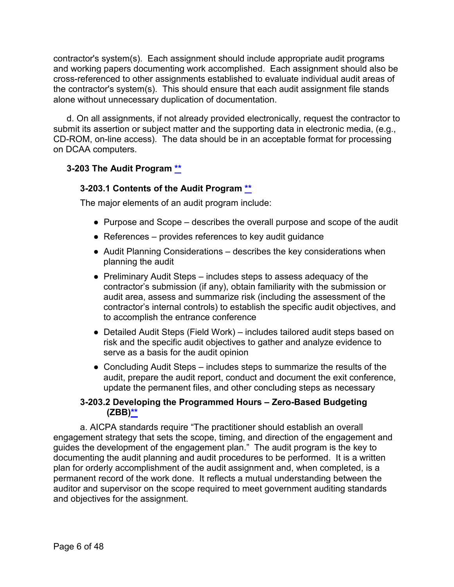contractor's system(s). Each assignment should include appropriate audit programs and working papers documenting work accomplished. Each assignment should also be cross-referenced to other assignments established to evaluate individual audit areas of the contractor's system(s). This should ensure that each audit assignment file stands alone without unnecessary duplication of documentation.

d. On all assignments, if not already provided electronically, request the contractor to submit its assertion or subject matter and the supporting data in electronic media, (e.g., CD-ROM, on-line access). The data should be in an acceptable format for processing on DCAA computers.

## <span id="page-5-1"></span><span id="page-5-0"></span>**3-203 The Audit Program [\\*\\*](#page-0-8)**

## **3-203.1 Contents of the Audit Program \*\***

The major elements of an audit program include:

- Purpose and Scope describes the overall purpose and scope of the audit
- $\bullet$  References provides references to key audit guidance
- Audit Planning Considerations describes the key considerations when planning the audit
- Preliminary Audit Steps includes steps to assess adequacy of the contractor's submission (if any), obtain familiarity with the submission or audit area, assess and summarize risk (including the assessment of the contractor's internal controls) to establish the specific audit objectives, and to accomplish the entrance conference
- Detailed Audit Steps (Field Work) includes tailored audit steps based on risk and the specific audit objectives to gather and analyze evidence to serve as a basis for the audit opinion
- Concluding Audit Steps includes steps to summarize the results of the audit, prepare the audit report, conduct and document the exit conference, update the permanent files, and other concluding steps as necessary

## **3-203.2 Developing the Programmed Hours – Zero-Based Budgeting (ZBB[\)\\*\\*](#page-0-9)**

<span id="page-5-2"></span>a. AICPA standards require "The practitioner should establish an overall engagement strategy that sets the scope, timing, and direction of the engagement and guides the development of the engagement plan." The audit program is the key to documenting the audit planning and audit procedures to be performed. It is a written plan for orderly accomplishment of the audit assignment and, when completed, is a permanent record of the work done. It reflects a mutual understanding between the auditor and supervisor on the scope required to meet government auditing standards and objectives for the assignment.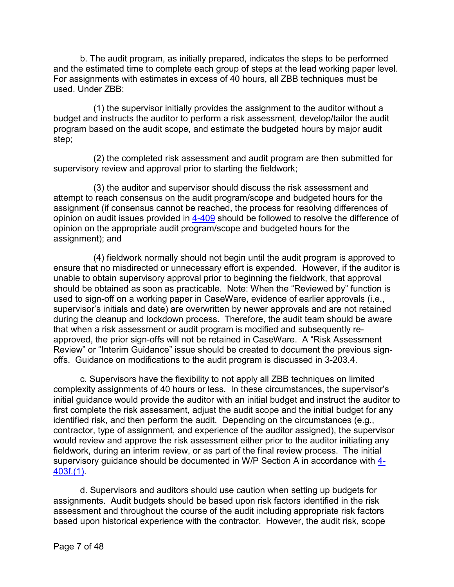b. The audit program, as initially prepared, indicates the steps to be performed and the estimated time to complete each group of steps at the lead working paper level. For assignments with estimates in excess of 40 hours, all ZBB techniques must be used. Under ZBB:

(1) the supervisor initially provides the assignment to the auditor without a budget and instructs the auditor to perform a risk assessment, develop/tailor the audit program based on the audit scope, and estimate the budgeted hours by major audit step;

(2) the completed risk assessment and audit program are then submitted for supervisory review and approval prior to starting the fieldwork;

(3) the auditor and supervisor should discuss the risk assessment and attempt to reach consensus on the audit program/scope and budgeted hours for the assignment (if consensus cannot be reached, the process for resolving differences of opinion on audit issues provided in [4-409](https://viper.dcaa.mil/guidance/cam/3130/general-audit-requirements#Sec4409) should be followed to resolve the difference of opinion on the appropriate audit program/scope and budgeted hours for the assignment); and

(4) fieldwork normally should not begin until the audit program is approved to ensure that no misdirected or unnecessary effort is expended. However, if the auditor is unable to obtain supervisory approval prior to beginning the fieldwork, that approval should be obtained as soon as practicable. Note: When the "Reviewed by" function is used to sign-off on a working paper in CaseWare, evidence of earlier approvals (i.e., supervisor's initials and date) are overwritten by newer approvals and are not retained during the cleanup and lockdown process. Therefore, the audit team should be aware that when a risk assessment or audit program is modified and subsequently reapproved, the prior sign-offs will not be retained in CaseWare. A "Risk Assessment Review" or "Interim Guidance" issue should be created to document the previous signoffs. Guidance on modifications to the audit program is discussed in 3-203.4.

c. Supervisors have the flexibility to not apply all ZBB techniques on limited complexity assignments of 40 hours or less. In these circumstances, the supervisor's initial guidance would provide the auditor with an initial budget and instruct the auditor to first complete the risk assessment, adjust the audit scope and the initial budget for any identified risk, and then perform the audit. Depending on the circumstances (e.g., contractor, type of assignment, and experience of the auditor assigned), the supervisor would review and approve the risk assessment either prior to the auditor initiating any fieldwork, during an interim review, or as part of the final review process. The initial supervisory guidance should be documented in W/P Section A in accordance with [4-](https://viper.dcaa.mil/guidance/cam/3130/general-audit-requirements#Sec4403) [403f.\(1\).](https://viper.dcaa.mil/guidance/cam/3130/general-audit-requirements#Sec4403)

d. Supervisors and auditors should use caution when setting up budgets for assignments. Audit budgets should be based upon risk factors identified in the risk assessment and throughout the course of the audit including appropriate risk factors based upon historical experience with the contractor. However, the audit risk, scope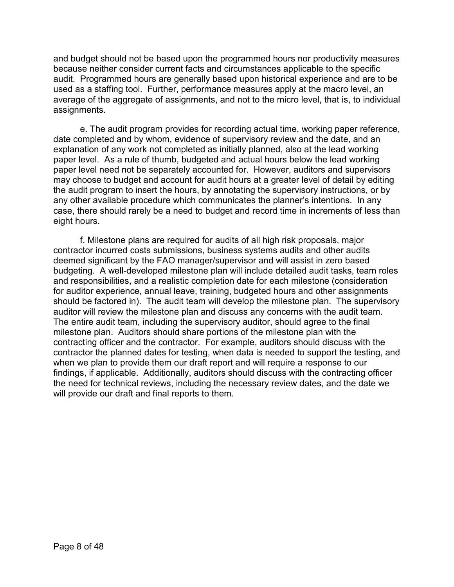and budget should not be based upon the programmed hours nor productivity measures because neither consider current facts and circumstances applicable to the specific audit. Programmed hours are generally based upon historical experience and are to be used as a staffing tool. Further, performance measures apply at the macro level, an average of the aggregate of assignments, and not to the micro level, that is, to individual assignments.

e. The audit program provides for recording actual time, working paper reference, date completed and by whom, evidence of supervisory review and the date, and an explanation of any work not completed as initially planned, also at the lead working paper level. As a rule of thumb, budgeted and actual hours below the lead working paper level need not be separately accounted for. However, auditors and supervisors may choose to budget and account for audit hours at a greater level of detail by editing the audit program to insert the hours, by annotating the supervisory instructions, or by any other available procedure which communicates the planner's intentions. In any case, there should rarely be a need to budget and record time in increments of less than eight hours.

f. Milestone plans are required for audits of all high risk proposals, major contractor incurred costs submissions, business systems audits and other audits deemed significant by the FAO manager/supervisor and will assist in zero based budgeting. A well-developed milestone plan will include detailed audit tasks, team roles and responsibilities, and a realistic completion date for each milestone (consideration for auditor experience, annual leave, training, budgeted hours and other assignments should be factored in). The audit team will develop the milestone plan. The supervisory auditor will review the milestone plan and discuss any concerns with the audit team. The entire audit team, including the supervisory auditor, should agree to the final milestone plan. Auditors should share portions of the milestone plan with the contracting officer and the contractor. For example, auditors should discuss with the contractor the planned dates for testing, when data is needed to support the testing, and when we plan to provide them our draft report and will require a response to our findings, if applicable. Additionally, auditors should discuss with the contracting officer the need for technical reviews, including the necessary review dates, and the date we will provide our draft and final reports to them.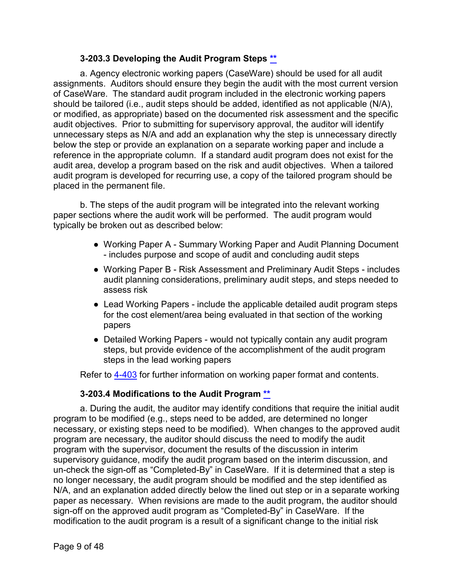## **3-203.3 Developing the Audit Program Steps [\\*\\*](#page-0-10)**

<span id="page-8-0"></span>a. Agency electronic working papers (CaseWare) should be used for all audit assignments. Auditors should ensure they begin the audit with the most current version of CaseWare. The standard audit program included in the electronic working papers should be tailored (i.e., audit steps should be added, identified as not applicable (N/A), or modified, as appropriate) based on the documented risk assessment and the specific audit objectives. Prior to submitting for supervisory approval, the auditor will identify unnecessary steps as N/A and add an explanation why the step is unnecessary directly below the step or provide an explanation on a separate working paper and include a reference in the appropriate column. If a standard audit program does not exist for the audit area, develop a program based on the risk and audit objectives. When a tailored audit program is developed for recurring use, a copy of the tailored program should be placed in the permanent file.

b. The steps of the audit program will be integrated into the relevant working paper sections where the audit work will be performed. The audit program would typically be broken out as described below:

- Working Paper A Summary Working Paper and Audit Planning Document - includes purpose and scope of audit and concluding audit steps
- Working Paper B Risk Assessment and Preliminary Audit Steps includes audit planning considerations, preliminary audit steps, and steps needed to assess risk
- Lead Working Papers include the applicable detailed audit program steps for the cost element/area being evaluated in that section of the working papers
- Detailed Working Papers would not typically contain any audit program steps, but provide evidence of the accomplishment of the audit program steps in the lead working papers

Refer to [4-403](https://viper.dcaa.mil/guidance/cam/3130/general-audit-requirements#Sec4403) for further information on working paper format and contents.

#### **3-203.4 Modifications to the Audit Program [\\*\\*](#page-0-11)**

<span id="page-8-1"></span>a. During the audit, the auditor may identify conditions that require the initial audit program to be modified (e.g., steps need to be added, are determined no longer necessary, or existing steps need to be modified). When changes to the approved audit program are necessary, the auditor should discuss the need to modify the audit program with the supervisor, document the results of the discussion in interim supervisory guidance, modify the audit program based on the interim discussion, and un-check the sign-off as "Completed-By" in CaseWare. If it is determined that a step is no longer necessary, the audit program should be modified and the step identified as N/A, and an explanation added directly below the lined out step or in a separate working paper as necessary. When revisions are made to the audit program, the auditor should sign-off on the approved audit program as "Completed-By" in CaseWare. If the modification to the audit program is a result of a significant change to the initial risk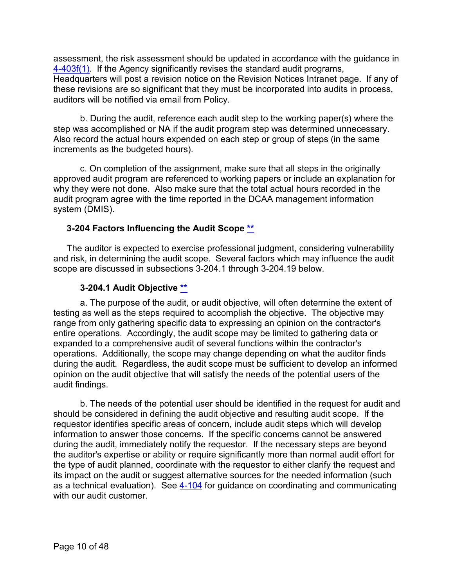assessment, the risk assessment should be updated in accordance with the guidance in [4-403f\(1\).](https://viper.dcaa.mil/guidance/cam/3130/general-audit-requirements#Sec4403) If the Agency significantly revises the standard audit programs, Headquarters will post a revision notice on the Revision Notices Intranet page. If any of these revisions are so significant that they must be incorporated into audits in process, auditors will be notified via email from Policy.

b. During the audit, reference each audit step to the working paper(s) where the step was accomplished or NA if the audit program step was determined unnecessary. Also record the actual hours expended on each step or group of steps (in the same increments as the budgeted hours).

c. On completion of the assignment, make sure that all steps in the originally approved audit program are referenced to working papers or include an explanation for why they were not done. Also make sure that the total actual hours recorded in the audit program agree with the time reported in the DCAA management information system (DMIS).

## <span id="page-9-0"></span>**3-204 Factors Influencing the Audit Scope [\\*\\*](#page-0-12)**

The auditor is expected to exercise professional judgment, considering vulnerability and risk, in determining the audit scope. Several factors which may influence the audit scope are discussed in subsections 3-204.1 through 3-204.19 below.

#### **3-204.1 Audit Objective [\\*\\*](#page-0-13)**

<span id="page-9-1"></span>a. The purpose of the audit, or audit objective, will often determine the extent of testing as well as the steps required to accomplish the objective. The objective may range from only gathering specific data to expressing an opinion on the contractor's entire operations. Accordingly, the audit scope may be limited to gathering data or expanded to a comprehensive audit of several functions within the contractor's operations. Additionally, the scope may change depending on what the auditor finds during the audit. Regardless, the audit scope must be sufficient to develop an informed opinion on the audit objective that will satisfy the needs of the potential users of the audit findings.

b. The needs of the potential user should be identified in the request for audit and should be considered in defining the audit objective and resulting audit scope. If the requestor identifies specific areas of concern, include audit steps which will develop information to answer those concerns. If the specific concerns cannot be answered during the audit, immediately notify the requestor. If the necessary steps are beyond the auditor's expertise or ability or require significantly more than normal audit effort for the type of audit planned, coordinate with the requestor to either clarify the request and its impact on the audit or suggest alternative sources for the needed information (such as a technical evaluation). See [4-104](https://viper.dcaa.mil/guidance/cam/3130/general-audit-requirements#Sec4104) for guidance on coordinating and communicating with our audit customer.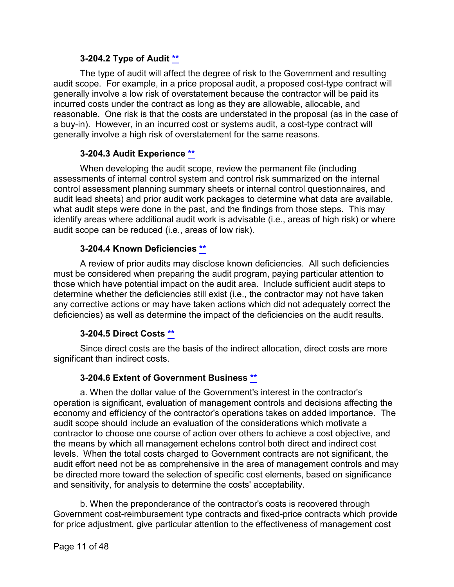## **3-204.2 Type of Audit [\\*\\*](#page-0-14)**

<span id="page-10-0"></span>The type of audit will affect the degree of risk to the Government and resulting audit scope. For example, in a price proposal audit, a proposed cost-type contract will generally involve a low risk of overstatement because the contractor will be paid its incurred costs under the contract as long as they are allowable, allocable, and reasonable. One risk is that the costs are understated in the proposal (as in the case of a buy-in). However, in an incurred cost or systems audit, a cost-type contract will generally involve a high risk of overstatement for the same reasons.

## **3-204.3 Audit Experience [\\*\\*](#page-0-15)**

<span id="page-10-1"></span>When developing the audit scope, review the permanent file (including assessments of internal control system and control risk summarized on the internal control assessment planning summary sheets or internal control questionnaires, and audit lead sheets) and prior audit work packages to determine what data are available, what audit steps were done in the past, and the findings from those steps. This may identify areas where additional audit work is advisable (i.e., areas of high risk) or where audit scope can be reduced (i.e., areas of low risk).

## **3-204.4 Known Deficiencies [\\*\\*](#page-1-0)**

<span id="page-10-2"></span>A review of prior audits may disclose known deficiencies. All such deficiencies must be considered when preparing the audit program, paying particular attention to those which have potential impact on the audit area. Include sufficient audit steps to determine whether the deficiencies still exist (i.e., the contractor may not have taken any corrective actions or may have taken actions which did not adequately correct the deficiencies) as well as determine the impact of the deficiencies on the audit results.

## **3-204.5 Direct Costs [\\*\\*](#page-1-1)**

<span id="page-10-3"></span>Since direct costs are the basis of the indirect allocation, direct costs are more significant than indirect costs.

## **3-204.6 Extent of Government Business \*\***

<span id="page-10-4"></span>a. When the dollar value of the Government's interest in the contractor's operation is significant, evaluation of management controls and decisions affecting the economy and efficiency of the contractor's operations takes on added importance. The audit scope should include an evaluation of the considerations which motivate a contractor to choose one course of action over others to achieve a cost objective, and the means by which all management echelons control both direct and indirect cost levels. When the total costs charged to Government contracts are not significant, the audit effort need not be as comprehensive in the area of management controls and may be directed more toward the selection of specific cost elements, based on significance and sensitivity, for analysis to determine the costs' acceptability.

b. When the preponderance of the contractor's costs is recovered through Government cost-reimbursement type contracts and fixed-price contracts which provide for price adjustment, give particular attention to the effectiveness of management cost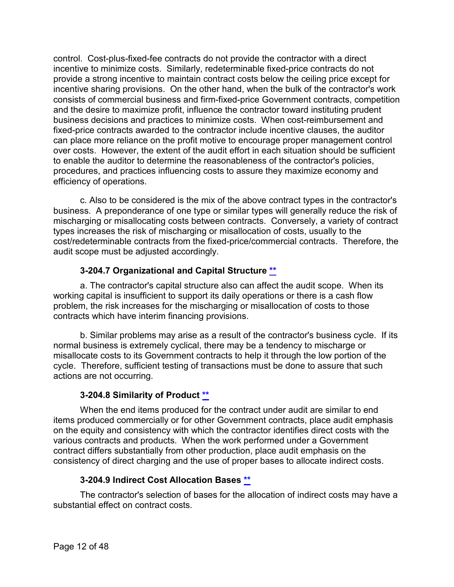control. Cost-plus-fixed-fee contracts do not provide the contractor with a direct incentive to minimize costs. Similarly, redeterminable fixed-price contracts do not provide a strong incentive to maintain contract costs below the ceiling price except for incentive sharing provisions. On the other hand, when the bulk of the contractor's work consists of commercial business and firm-fixed-price Government contracts, competition and the desire to maximize profit, influence the contractor toward instituting prudent business decisions and practices to minimize costs. When cost-reimbursement and fixed-price contracts awarded to the contractor include incentive clauses, the auditor can place more reliance on the profit motive to encourage proper management control over costs. However, the extent of the audit effort in each situation should be sufficient to enable the auditor to determine the reasonableness of the contractor's policies, procedures, and practices influencing costs to assure they maximize economy and efficiency of operations.

c. Also to be considered is the mix of the above contract types in the contractor's business. A preponderance of one type or similar types will generally reduce the risk of mischarging or misallocating costs between contracts. Conversely, a variety of contract types increases the risk of mischarging or misallocation of costs, usually to the cost/redeterminable contracts from the fixed-price/commercial contracts. Therefore, the audit scope must be adjusted accordingly.

## **3-204.7 Organizational and Capital Structure [\\*\\*](#page-1-2)**

<span id="page-11-0"></span>a. The contractor's capital structure also can affect the audit scope. When its working capital is insufficient to support its daily operations or there is a cash flow problem, the risk increases for the mischarging or misallocation of costs to those contracts which have interim financing provisions.

b. Similar problems may arise as a result of the contractor's business cycle. If its normal business is extremely cyclical, there may be a tendency to mischarge or misallocate costs to its Government contracts to help it through the low portion of the cycle. Therefore, sufficient testing of transactions must be done to assure that such actions are not occurring.

## **3-204.8 Similarity of Product [\\*\\*](#page-1-3)**

<span id="page-11-1"></span>When the end items produced for the contract under audit are similar to end items produced commercially or for other Government contracts, place audit emphasis on the equity and consistency with which the contractor identifies direct costs with the various contracts and products. When the work performed under a Government contract differs substantially from other production, place audit emphasis on the consistency of direct charging and the use of proper bases to allocate indirect costs.

## **3-204.9 Indirect Cost Allocation Bases [\\*\\*](#page-1-4)**

<span id="page-11-2"></span>The contractor's selection of bases for the allocation of indirect costs may have a substantial effect on contract costs.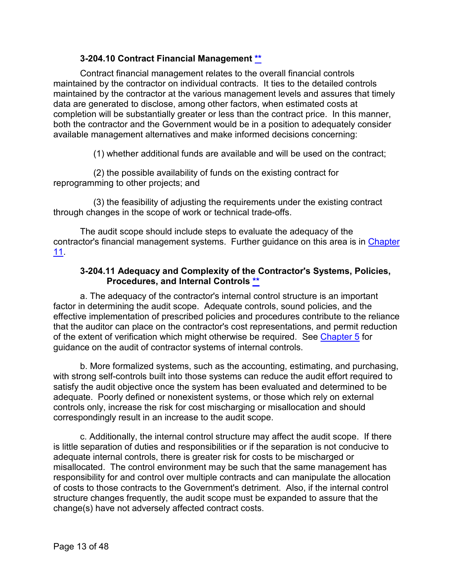## **3-204.10 Contract Financial Management \*\***

<span id="page-12-0"></span>Contract financial management relates to the overall financial controls maintained by the contractor on individual contracts. It ties to the detailed controls maintained by the contractor at the various management levels and assures that timely data are generated to disclose, among other factors, when estimated costs at completion will be substantially greater or less than the contract price. In this manner, both the contractor and the Government would be in a position to adequately consider available management alternatives and make informed decisions concerning:

(1) whether additional funds are available and will be used on the contract;

(2) the possible availability of funds on the existing contract for reprogramming to other projects; and

(3) the feasibility of adjusting the requirements under the existing contract through changes in the scope of work or technical trade-offs.

The audit scope should include steps to evaluate the adequacy of the contractor's financial management systems. Further guidance on this area is in [Chapter](https://viper.dcaa.mil/guidance/cam/3153/audits-of-contractor-compliance-with-contract-financial-management-requirements#Sec)  [11.](https://viper.dcaa.mil/guidance/cam/3153/audits-of-contractor-compliance-with-contract-financial-management-requirements#Sec)

## **3-204.11 Adequacy and Complexity of the Contractor's Systems, Policies, Procedures, and Internal Controls [\\*\\*](#page-1-5)**

<span id="page-12-1"></span>a. The adequacy of the contractor's internal control structure is an important factor in determining the audit scope. Adequate controls, sound policies, and the effective implementation of prescribed policies and procedures contribute to the reliance that the auditor can place on the contractor's cost representations, and permit reduction of the extent of verification which might otherwise be required. See [Chapter 5](https://viper.dcaa.mil/guidance/cam/3135/audit-of-contractor-compliance-with-defense-federal-acquisition-regulation-supplement-for-contractor-business-systems-and-subsystems#Sec) for guidance on the audit of contractor systems of internal controls.

b. More formalized systems, such as the accounting, estimating, and purchasing, with strong self-controls built into those systems can reduce the audit effort required to satisfy the audit objective once the system has been evaluated and determined to be adequate. Poorly defined or nonexistent systems, or those which rely on external controls only, increase the risk for cost mischarging or misallocation and should correspondingly result in an increase to the audit scope.

c. Additionally, the internal control structure may affect the audit scope. If there is little separation of duties and responsibilities or if the separation is not conducive to adequate internal controls, there is greater risk for costs to be mischarged or misallocated. The control environment may be such that the same management has responsibility for and control over multiple contracts and can manipulate the allocation of costs to those contracts to the Government's detriment. Also, if the internal control structure changes frequently, the audit scope must be expanded to assure that the change(s) have not adversely affected contract costs.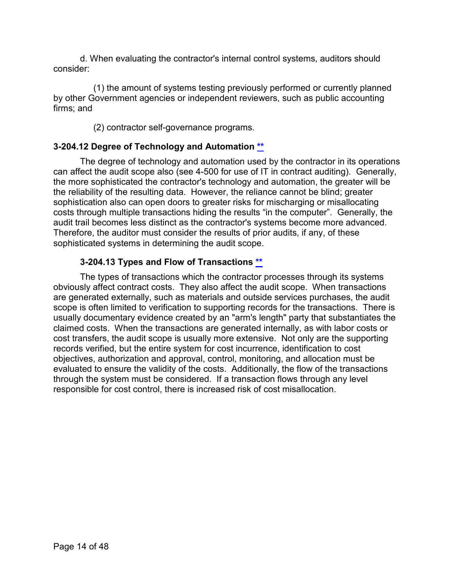d. When evaluating the contractor's internal control systems, auditors should consider:

(1) the amount of systems testing previously performed or currently planned by other Government agencies or independent reviewers, such as public accounting firms; and

(2) contractor self-governance programs.

## <span id="page-13-0"></span>**3-204.12 Degree of Technology and Automation [\\*\\*](#page-1-6)**

The degree of technology and automation used by the contractor in its operations can affect the audit scope also (see 4-500 for use of IT in contract auditing). Generally, the more sophisticated the contractor's technology and automation, the greater will be the reliability of the resulting data. However, the reliance cannot be blind; greater sophistication also can open doors to greater risks for mischarging or misallocating costs through multiple transactions hiding the results "in the computer". Generally, the audit trail becomes less distinct as the contractor's systems become more advanced. Therefore, the auditor must consider the results of prior audits, if any, of these sophisticated systems in determining the audit scope.

## **3-204.13 Types and Flow of Transactions [\\*\\*](#page-1-7)**

<span id="page-13-1"></span>The types of transactions which the contractor processes through its systems obviously affect contract costs. They also affect the audit scope. When transactions are generated externally, such as materials and outside services purchases, the audit scope is often limited to verification to supporting records for the transactions. There is usually documentary evidence created by an "arm's length" party that substantiates the claimed costs. When the transactions are generated internally, as with labor costs or cost transfers, the audit scope is usually more extensive. Not only are the supporting records verified, but the entire system for cost incurrence, identification to cost objectives, authorization and approval, control, monitoring, and allocation must be evaluated to ensure the validity of the costs. Additionally, the flow of the transactions through the system must be considered. If a transaction flows through any level responsible for cost control, there is increased risk of cost misallocation.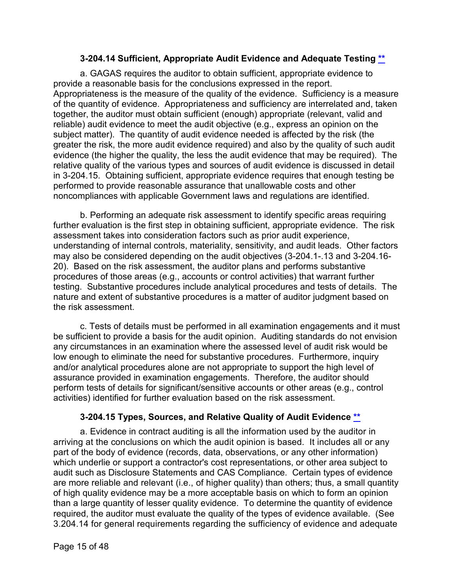## **3-204.14 Sufficient, Appropriate Audit Evidence and Adequate Testing [\\*\\*](#page-1-8)**

<span id="page-14-0"></span>a. GAGAS requires the auditor to obtain sufficient, appropriate evidence to provide a reasonable basis for the conclusions expressed in the report. Appropriateness is the measure of the quality of the evidence. Sufficiency is a measure of the quantity of evidence. Appropriateness and sufficiency are interrelated and, taken together, the auditor must obtain sufficient (enough) appropriate (relevant, valid and reliable) audit evidence to meet the audit objective (e.g., express an opinion on the subject matter). The quantity of audit evidence needed is affected by the risk (the greater the risk, the more audit evidence required) and also by the quality of such audit evidence (the higher the quality, the less the audit evidence that may be required). The relative quality of the various types and sources of audit evidence is discussed in detail in 3-204.15. Obtaining sufficient, appropriate evidence requires that enough testing be performed to provide reasonable assurance that unallowable costs and other noncompliances with applicable Government laws and regulations are identified.

b. Performing an adequate risk assessment to identify specific areas requiring further evaluation is the first step in obtaining sufficient, appropriate evidence. The risk assessment takes into consideration factors such as prior audit experience, understanding of internal controls, materiality, sensitivity, and audit leads. Other factors may also be considered depending on the audit objectives (3-204.1-.13 and 3-204.16- 20). Based on the risk assessment, the auditor plans and performs substantive procedures of those areas (e.g., accounts or control activities) that warrant further testing. Substantive procedures include analytical procedures and tests of details. The nature and extent of substantive procedures is a matter of auditor judgment based on the risk assessment.

c. Tests of details must be performed in all examination engagements and it must be sufficient to provide a basis for the audit opinion. Auditing standards do not envision any circumstances in an examination where the assessed level of audit risk would be low enough to eliminate the need for substantive procedures. Furthermore, inquiry and/or analytical procedures alone are not appropriate to support the high level of assurance provided in examination engagements. Therefore, the auditor should perform tests of details for significant/sensitive accounts or other areas (e.g., control activities) identified for further evaluation based on the risk assessment.

## **3-204.15 Types, Sources, and Relative Quality of Audit Evidence [\\*\\*](#page-1-8)**

<span id="page-14-1"></span>a. Evidence in contract auditing is all the information used by the auditor in arriving at the conclusions on which the audit opinion is based. It includes all or any part of the body of evidence (records, data, observations, or any other information) which underlie or support a contractor's cost representations, or other area subject to audit such as Disclosure Statements and CAS Compliance. Certain types of evidence are more reliable and relevant (i.e., of higher quality) than others; thus, a small quantity of high quality evidence may be a more acceptable basis on which to form an opinion than a large quantity of lesser quality evidence. To determine the quantity of evidence required, the auditor must evaluate the quality of the types of evidence available. (See 3.204.14 for general requirements regarding the sufficiency of evidence and adequate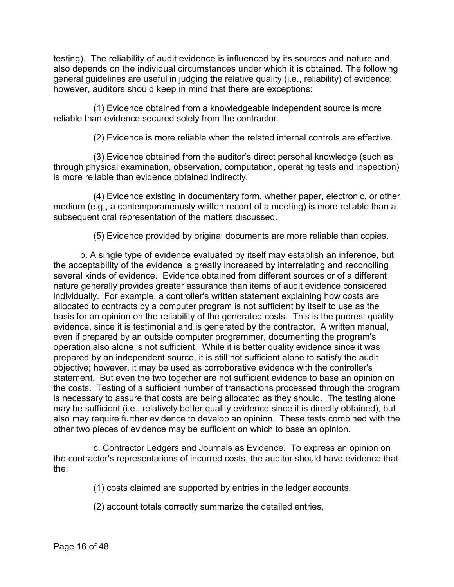testing). The reliability of audit evidence is influenced by its sources and nature and also depends on the individual circumstances under which it is obtained. The following general guidelines are useful in judging the relative quality (i.e., reliability) of evidence; however, auditors should keep in mind that there are exceptions:

(1) Evidence obtained from a knowledgeable independent source is more reliable than evidence secured solely from the contractor.

(2) Evidence is more reliable when the related internal controls are effective.

(3) Evidence obtained from the auditor's direct personal knowledge (such as through physical examination, observation, computation, operating tests and inspection) is more reliable than evidence obtained indirectly.

(4) Evidence existing in documentary form, whether paper, electronic, or other medium (e.g., a contemporaneously written record of a meeting) is more reliable than a subsequent oral representation of the matters discussed.

(5) Evidence provided by original documents are more reliable than copies.

b. A single type of evidence evaluated by itself may establish an inference, but the acceptability of the evidence is greatly increased by interrelating and reconciling several kinds of evidence. Evidence obtained from different sources or of a different nature generally provides greater assurance than items of audit evidence considered individually. For example, a controller's written statement explaining how costs are allocated to contracts by a computer program is not sufficient by itself to use as the basis for an opinion on the reliability of the generated costs. This is the poorest quality evidence, since it is testimonial and is generated by the contractor. A written manual, even if prepared by an outside computer programmer, documenting the program's operation also alone is not sufficient. While it is better quality evidence since it was prepared by an independent source, it is still not sufficient alone to satisfy the audit objective; however, it may be used as corroborative evidence with the controller's statement. But even the two together are not sufficient evidence to base an opinion on the costs. Testing of a sufficient number of transactions processed through the program is necessary to assure that costs are being allocated as they should. The testing alone may be sufficient (i.e., relatively better quality evidence since it is directly obtained), but also may require further evidence to develop an opinion. These tests combined with the other two pieces of evidence may be sufficient on which to base an opinion.

c. Contractor Ledgers and Journals as Evidence. To express an opinion on the contractor's representations of incurred costs, the auditor should have evidence that the:

(1) costs claimed are supported by entries in the ledger accounts,

(2) account totals correctly summarize the detailed entries,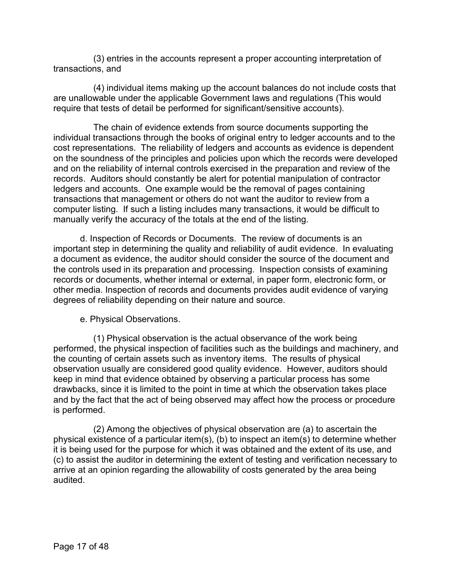(3) entries in the accounts represent a proper accounting interpretation of transactions, and

(4) individual items making up the account balances do not include costs that are unallowable under the applicable Government laws and regulations (This would require that tests of detail be performed for significant/sensitive accounts).

The chain of evidence extends from source documents supporting the individual transactions through the books of original entry to ledger accounts and to the cost representations. The reliability of ledgers and accounts as evidence is dependent on the soundness of the principles and policies upon which the records were developed and on the reliability of internal controls exercised in the preparation and review of the records. Auditors should constantly be alert for potential manipulation of contractor ledgers and accounts. One example would be the removal of pages containing transactions that management or others do not want the auditor to review from a computer listing. If such a listing includes many transactions, it would be difficult to manually verify the accuracy of the totals at the end of the listing.

d. Inspection of Records or Documents. The review of documents is an important step in determining the quality and reliability of audit evidence. In evaluating a document as evidence, the auditor should consider the source of the document and the controls used in its preparation and processing. Inspection consists of examining records or documents, whether internal or external, in paper form, electronic form, or other media. Inspection of records and documents provides audit evidence of varying degrees of reliability depending on their nature and source.

e. Physical Observations.

(1) Physical observation is the actual observance of the work being performed, the physical inspection of facilities such as the buildings and machinery, and the counting of certain assets such as inventory items. The results of physical observation usually are considered good quality evidence. However, auditors should keep in mind that evidence obtained by observing a particular process has some drawbacks, since it is limited to the point in time at which the observation takes place and by the fact that the act of being observed may affect how the process or procedure is performed.

(2) Among the objectives of physical observation are (a) to ascertain the physical existence of a particular item(s), (b) to inspect an item(s) to determine whether it is being used for the purpose for which it was obtained and the extent of its use, and (c) to assist the auditor in determining the extent of testing and verification necessary to arrive at an opinion regarding the allowability of costs generated by the area being audited.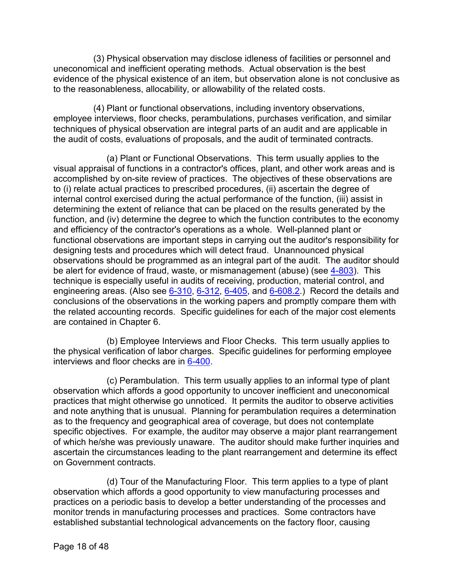(3) Physical observation may disclose idleness of facilities or personnel and uneconomical and inefficient operating methods. Actual observation is the best evidence of the physical existence of an item, but observation alone is not conclusive as to the reasonableness, allocability, or allowability of the related costs.

(4) Plant or functional observations, including inventory observations, employee interviews, floor checks, perambulations, purchases verification, and similar techniques of physical observation are integral parts of an audit and are applicable in the audit of costs, evaluations of proposals, and the audit of terminated contracts.

(a) Plant or Functional Observations. This term usually applies to the visual appraisal of functions in a contractor's offices, plant, and other work areas and is accomplished by on-site review of practices. The objectives of these observations are to (i) relate actual practices to prescribed procedures, (ii) ascertain the degree of internal control exercised during the actual performance of the function, (iii) assist in determining the extent of reliance that can be placed on the results generated by the function, and (iv) determine the degree to which the function contributes to the economy and efficiency of the contractor's operations as a whole. Well-planned plant or functional observations are important steps in carrying out the auditor's responsibility for designing tests and procedures which will detect fraud. Unannounced physical observations should be programmed as an integral part of the audit. The auditor should be alert for evidence of fraud, waste, or mismanagement (abuse) (see [4-803\)](https://viper.dcaa.mil/guidance/cam/3130/general-audit-requirements#Sec4803). This technique is especially useful in audits of receiving, production, material control, and engineering areas. (Also see [6-310,](https://viper.dcaa.mil/guidance/cam/3136/incurred-cost-audit-procedures#Sec6310) [6-312,](https://viper.dcaa.mil/guidance/cam/3136/incurred-cost-audit-procedures#Sec6312) [6-405,](https://viper.dcaa.mil/guidance/cam/3136/incurred-cost-audit-procedures#Sec6405) and [6-608.2.](https://viper.dcaa.mil/guidance/cam/3136/incurred-cost-audit-procedures#Sec66082)) Record the details and conclusions of the observations in the working papers and promptly compare them with the related accounting records. Specific guidelines for each of the major cost elements are contained in Chapter 6.

(b) Employee Interviews and Floor Checks. This term usually applies to the physical verification of labor charges. Specific guidelines for performing employee interviews and floor checks are in [6-400.](https://viper.dcaa.mil/guidance/cam/3136/incurred-cost-audit-procedures#Sec6400)

(c) Perambulation. This term usually applies to an informal type of plant observation which affords a good opportunity to uncover inefficient and uneconomical practices that might otherwise go unnoticed. It permits the auditor to observe activities and note anything that is unusual. Planning for perambulation requires a determination as to the frequency and geographical area of coverage, but does not contemplate specific objectives. For example, the auditor may observe a major plant rearrangement of which he/she was previously unaware. The auditor should make further inquiries and ascertain the circumstances leading to the plant rearrangement and determine its effect on Government contracts.

(d) Tour of the Manufacturing Floor. This term applies to a type of plant observation which affords a good opportunity to view manufacturing processes and practices on a periodic basis to develop a better understanding of the processes and monitor trends in manufacturing processes and practices. Some contractors have established substantial technological advancements on the factory floor, causing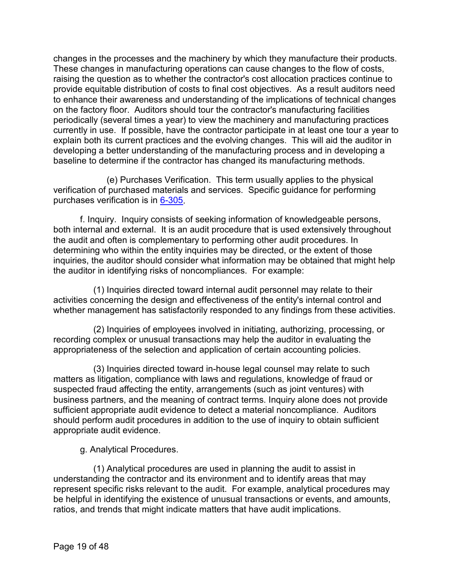changes in the processes and the machinery by which they manufacture their products. These changes in manufacturing operations can cause changes to the flow of costs, raising the question as to whether the contractor's cost allocation practices continue to provide equitable distribution of costs to final cost objectives. As a result auditors need to enhance their awareness and understanding of the implications of technical changes on the factory floor. Auditors should tour the contractor's manufacturing facilities periodically (several times a year) to view the machinery and manufacturing practices currently in use. If possible, have the contractor participate in at least one tour a year to explain both its current practices and the evolving changes. This will aid the auditor in developing a better understanding of the manufacturing process and in developing a baseline to determine if the contractor has changed its manufacturing methods.

(e) Purchases Verification. This term usually applies to the physical verification of purchased materials and services. Specific guidance for performing purchases verification is in [6-305.](https://viper.dcaa.mil/guidance/cam/3136/incurred-cost-audit-procedures#Sec6305)

f. Inquiry. Inquiry consists of seeking information of knowledgeable persons, both internal and external. It is an audit procedure that is used extensively throughout the audit and often is complementary to performing other audit procedures. In determining who within the entity inquiries may be directed, or the extent of those inquiries, the auditor should consider what information may be obtained that might help the auditor in identifying risks of noncompliances. For example:

(1) Inquiries directed toward internal audit personnel may relate to their activities concerning the design and effectiveness of the entity's internal control and whether management has satisfactorily responded to any findings from these activities.

(2) Inquiries of employees involved in initiating, authorizing, processing, or recording complex or unusual transactions may help the auditor in evaluating the appropriateness of the selection and application of certain accounting policies.

(3) Inquiries directed toward in-house legal counsel may relate to such matters as litigation, compliance with laws and regulations, knowledge of fraud or suspected fraud affecting the entity, arrangements (such as joint ventures) with business partners, and the meaning of contract terms. Inquiry alone does not provide sufficient appropriate audit evidence to detect a material noncompliance. Auditors should perform audit procedures in addition to the use of inquiry to obtain sufficient appropriate audit evidence.

g. Analytical Procedures.

(1) Analytical procedures are used in planning the audit to assist in understanding the contractor and its environment and to identify areas that may represent specific risks relevant to the audit. For example, analytical procedures may be helpful in identifying the existence of unusual transactions or events, and amounts, ratios, and trends that might indicate matters that have audit implications.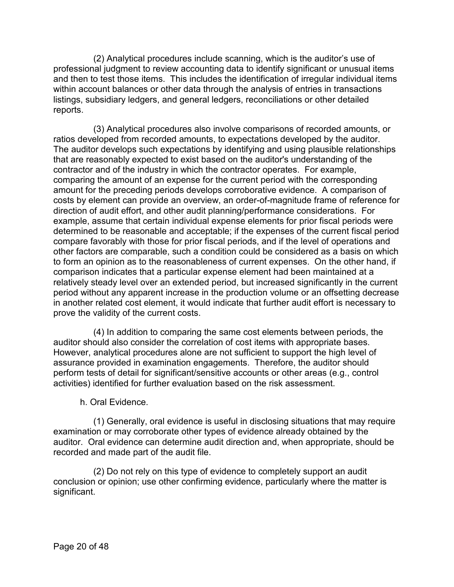(2) Analytical procedures include scanning, which is the auditor's use of professional judgment to review accounting data to identify significant or unusual items and then to test those items. This includes the identification of irregular individual items within account balances or other data through the analysis of entries in transactions listings, subsidiary ledgers, and general ledgers, reconciliations or other detailed reports.

(3) Analytical procedures also involve comparisons of recorded amounts, or ratios developed from recorded amounts, to expectations developed by the auditor. The auditor develops such expectations by identifying and using plausible relationships that are reasonably expected to exist based on the auditor's understanding of the contractor and of the industry in which the contractor operates. For example, comparing the amount of an expense for the current period with the corresponding amount for the preceding periods develops corroborative evidence. A comparison of costs by element can provide an overview, an order-of-magnitude frame of reference for direction of audit effort, and other audit planning/performance considerations. For example, assume that certain individual expense elements for prior fiscal periods were determined to be reasonable and acceptable; if the expenses of the current fiscal period compare favorably with those for prior fiscal periods, and if the level of operations and other factors are comparable, such a condition could be considered as a basis on which to form an opinion as to the reasonableness of current expenses. On the other hand, if comparison indicates that a particular expense element had been maintained at a relatively steady level over an extended period, but increased significantly in the current period without any apparent increase in the production volume or an offsetting decrease in another related cost element, it would indicate that further audit effort is necessary to prove the validity of the current costs.

(4) In addition to comparing the same cost elements between periods, the auditor should also consider the correlation of cost items with appropriate bases. However, analytical procedures alone are not sufficient to support the high level of assurance provided in examination engagements. Therefore, the auditor should perform tests of detail for significant/sensitive accounts or other areas (e.g., control activities) identified for further evaluation based on the risk assessment.

h. Oral Evidence.

(1) Generally, oral evidence is useful in disclosing situations that may require examination or may corroborate other types of evidence already obtained by the auditor. Oral evidence can determine audit direction and, when appropriate, should be recorded and made part of the audit file.

(2) Do not rely on this type of evidence to completely support an audit conclusion or opinion; use other confirming evidence, particularly where the matter is significant.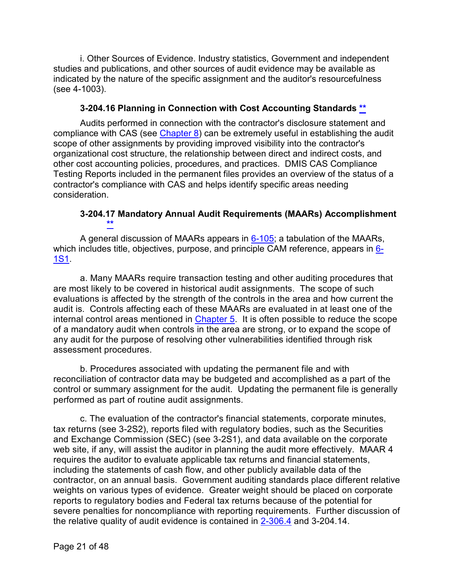i. Other Sources of Evidence. Industry statistics, Government and independent studies and publications, and other sources of audit evidence may be available as indicated by the nature of the specific assignment and the auditor's resourcefulness (see 4-1003).

#### **3-204.16 Planning in Connection with Cost Accounting Standards [\\*\\*](#page-1-9)**

<span id="page-20-0"></span>Audits performed in connection with the contractor's disclosure statement and compliance with CAS (see [Chapter 8\)](https://viper.dcaa.mil/guidance/cam/3141/cost-accounting-standards#Section) can be extremely useful in establishing the audit scope of other assignments by providing improved visibility into the contractor's organizational cost structure, the relationship between direct and indirect costs, and other cost accounting policies, procedures, and practices. DMIS CAS Compliance Testing Reports included in the permanent files provides an overview of the status of a contractor's compliance with CAS and helps identify specific areas needing consideration.

## **3-204.17 Mandatory Annual Audit Requirements (MAARs) Accomplishment [\\*\\*](#page-1-10)**

<span id="page-20-1"></span>A general discussion of MAARs appears in  $6-105$ ; a tabulation of the MAARs, which includes title, objectives, purpose, and principle CAM reference, appears in [6-](https://viper.dcaa.mil/guidance/cam/3136/incurred-cost-audit-procedures#Sec61S1) [1S1.](https://viper.dcaa.mil/guidance/cam/3136/incurred-cost-audit-procedures#Sec61S1)

a. Many MAARs require transaction testing and other auditing procedures that are most likely to be covered in historical audit assignments. The scope of such evaluations is affected by the strength of the controls in the area and how current the audit is. Controls affecting each of these MAARs are evaluated in at least one of the internal control areas mentioned in [Chapter 5.](https://viper.dcaa.mil/guidance/cam/3135/audit-of-contractor-compliance-with-defense-federal-acquisition-regulation-supplement-for-contractor-business-systems-and-subsystems#Sec) It is often possible to reduce the scope of a mandatory audit when controls in the area are strong, or to expand the scope of any audit for the purpose of resolving other vulnerabilities identified through risk assessment procedures.

b. Procedures associated with updating the permanent file and with reconciliation of contractor data may be budgeted and accomplished as a part of the control or summary assignment for the audit. Updating the permanent file is generally performed as part of routine audit assignments.

c. The evaluation of the contractor's financial statements, corporate minutes, tax returns (see 3-2S2), reports filed with regulatory bodies, such as the Securities and Exchange Commission (SEC) (see 3-2S1), and data available on the corporate web site, if any, will assist the auditor in planning the audit more effectively. MAAR 4 requires the auditor to evaluate applicable tax returns and financial statements, including the statements of cash flow, and other publicly available data of the contractor, on an annual basis. Government auditing standards place different relative weights on various types of evidence. Greater weight should be placed on corporate reports to regulatory bodies and Federal tax returns because of the potential for severe penalties for noncompliance with reporting requirements. Further discussion of the relative quality of audit evidence is contained in [2-306.4](https://viper.dcaa.mil/guidance/cam/3128/auditing-standards#Sec23064) and 3-204.14.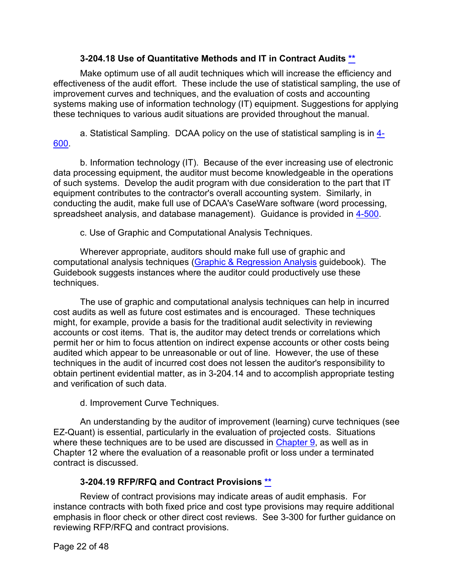## **3-204.18 Use of Quantitative Methods and IT in Contract Audits [\\*\\*](#page-1-11)**

<span id="page-21-0"></span>Make optimum use of all audit techniques which will increase the efficiency and effectiveness of the audit effort. These include the use of statistical sampling, the use of improvement curves and techniques, and the evaluation of costs and accounting systems making use of information technology (IT) equipment. Suggestions for applying these techniques to various audit situations are provided throughout the manual.

a. Statistical Sampling. DCAA policy on the use of statistical sampling is in [4-](https://viper.dcaa.mil/guidance/cam/3130/general-audit-requirements#Sec4600) [600.](https://viper.dcaa.mil/guidance/cam/3130/general-audit-requirements#Sec4600)

b. Information technology (IT). Because of the ever increasing use of electronic data processing equipment, the auditor must become knowledgeable in the operations of such systems. Develop the audit program with due consideration to the part that IT equipment contributes to the contractor's overall accounting system. Similarly, in conducting the audit, make full use of DCAA's CaseWare software (word processing, spreadsheet analysis, and database management). Guidance is provided in [4-500.](https://viper.dcaa.mil/guidance/cam/3130/general-audit-requirements#Sec4500)

c. Use of Graphic and Computational Analysis Techniques.

Wherever appropriate, auditors should make full use of graphic and computational analysis techniques [\(Graphic & Regression Analysis](https://viper.dcaa.mil/guidance/guidebooks/graphic-and-regression-analysis) guidebook). The Guidebook suggests instances where the auditor could productively use these techniques.

The use of graphic and computational analysis techniques can help in incurred cost audits as well as future cost estimates and is encouraged. These techniques might, for example, provide a basis for the traditional audit selectivity in reviewing accounts or cost items. That is, the auditor may detect trends or correlations which permit her or him to focus attention on indirect expense accounts or other costs being audited which appear to be unreasonable or out of line. However, the use of these techniques in the audit of incurred cost does not lessen the auditor's responsibility to obtain pertinent evidential matter, as in 3-204.14 and to accomplish appropriate testing and verification of such data.

d. Improvement Curve Techniques.

An understanding by the auditor of improvement (learning) curve techniques (see EZ-Quant) is essential, particularly in the evaluation of projected costs. Situations where these techniques are to be used are discussed in [Chapter 9,](https://viper.dcaa.mil/guidance/cam/3144/audits-of-cost-estimating-and-pricing-proposals#Sec) as well as in Chapter 12 where the evaluation of a reasonable profit or loss under a terminated contract is discussed.

## **3-204.19 RFP/RFQ and Contract Provisions [\\*\\*](#page-1-12)**

<span id="page-21-1"></span>Review of contract provisions may indicate areas of audit emphasis. For instance contracts with both fixed price and cost type provisions may require additional emphasis in floor check or other direct cost reviews. See 3-300 for further guidance on reviewing RFP/RFQ and contract provisions.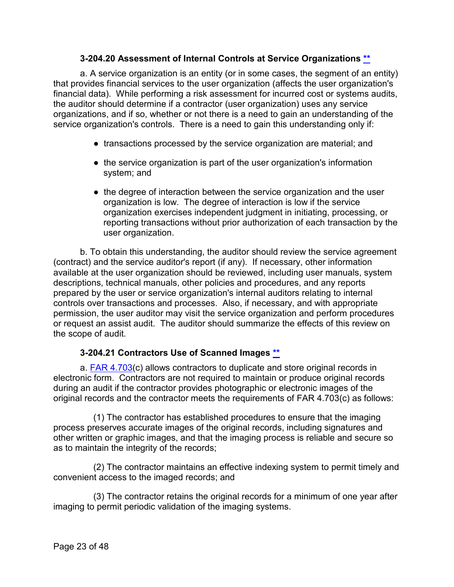## **3-204.20 Assessment of Internal Controls at Service Organizations \*\***

<span id="page-22-0"></span>a. A service organization is an entity (or in some cases, the segment of an entity) that provides financial services to the user organization (affects the user organization's financial data). While performing a risk assessment for incurred cost or systems audits, the auditor should determine if a contractor (user organization) uses any service organizations, and if so, whether or not there is a need to gain an understanding of the service organization's controls. There is a need to gain this understanding only if:

- transactions processed by the service organization are material; and
- the service organization is part of the user organization's information system; and
- the degree of interaction between the service organization and the user organization is low. The degree of interaction is low if the service organization exercises independent judgment in initiating, processing, or reporting transactions without prior authorization of each transaction by the user organization.

b. To obtain this understanding, the auditor should review the service agreement (contract) and the service auditor's report (if any). If necessary, other information available at the user organization should be reviewed, including user manuals, system descriptions, technical manuals, other policies and procedures, and any reports prepared by the user or service organization's internal auditors relating to internal controls over transactions and processes. Also, if necessary, and with appropriate permission, the user auditor may visit the service organization and perform procedures or request an assist audit. The auditor should summarize the effects of this review on the scope of audit.

## **3-204.21 Contractors Use of Scanned Images [\\*\\*](#page-1-13)**

<span id="page-22-1"></span>a. **[FAR 4.703\(](http://162.140.57.127/cgi-bin/text-idx?SID=cb86dae619fff3beb1817bf953cfdb30&mc=true&node=se48.1.4_1703&rgn=div8)c)** allows contractors to duplicate and store original records in electronic form. Contractors are not required to maintain or produce original records during an audit if the contractor provides photographic or electronic images of the original records and the contractor meets the requirements of FAR 4.703(c) as follows:

(1) The contractor has established procedures to ensure that the imaging process preserves accurate images of the original records, including signatures and other written or graphic images, and that the imaging process is reliable and secure so as to maintain the integrity of the records;

(2) The contractor maintains an effective indexing system to permit timely and convenient access to the imaged records; and

(3) The contractor retains the original records for a minimum of one year after imaging to permit periodic validation of the imaging systems.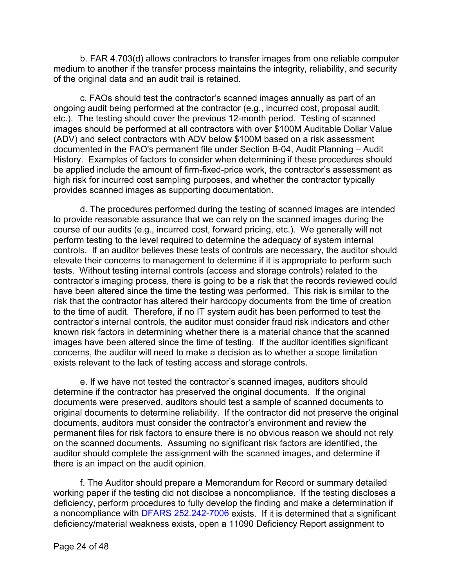b. FAR 4.703(d) allows contractors to transfer images from one reliable computer medium to another if the transfer process maintains the integrity, reliability, and security of the original data and an audit trail is retained.

c. FAOs should test the contractor's scanned images annually as part of an ongoing audit being performed at the contractor (e.g., incurred cost, proposal audit, etc.). The testing should cover the previous 12-month period. Testing of scanned images should be performed at all contractors with over \$100M Auditable Dollar Value (ADV) and select contractors with ADV below \$100M based on a risk assessment documented in the FAO's permanent file under Section B-04, Audit Planning – Audit History. Examples of factors to consider when determining if these procedures should be applied include the amount of firm-fixed-price work, the contractor's assessment as high risk for incurred cost sampling purposes, and whether the contractor typically provides scanned images as supporting documentation.

d. The procedures performed during the testing of scanned images are intended to provide reasonable assurance that we can rely on the scanned images during the course of our audits (e.g., incurred cost, forward pricing, etc.). We generally will not perform testing to the level required to determine the adequacy of system internal controls. If an auditor believes these tests of controls are necessary, the auditor should elevate their concerns to management to determine if it is appropriate to perform such tests. Without testing internal controls (access and storage controls) related to the contractor's imaging process, there is going to be a risk that the records reviewed could have been altered since the time the testing was performed. This risk is similar to the risk that the contractor has altered their hardcopy documents from the time of creation to the time of audit. Therefore, if no IT system audit has been performed to test the contractor's internal controls, the auditor must consider fraud risk indicators and other known risk factors in determining whether there is a material chance that the scanned images have been altered since the time of testing. If the auditor identifies significant concerns, the auditor will need to make a decision as to whether a scope limitation exists relevant to the lack of testing access and storage controls.

e. If we have not tested the contractor's scanned images, auditors should determine if the contractor has preserved the original documents. If the original documents were preserved, auditors should test a sample of scanned documents to original documents to determine reliability. If the contractor did not preserve the original documents, auditors must consider the contractor's environment and review the permanent files for risk factors to ensure there is no obvious reason we should not rely on the scanned documents. Assuming no significant risk factors are identified, the auditor should complete the assignment with the scanned images, and determine if there is an impact on the audit opinion.

f. The Auditor should prepare a Memorandum for Record or summary detailed working paper if the testing did not disclose a noncompliance. If the testing discloses a deficiency, perform procedures to fully develop the finding and make a determination if a noncompliance with [DFARS 252.242-7006](https://www.gpo.gov/fdsys/pkg/CFR-2011-title48-vol3/pdf/CFR-2011-title48-vol3-sec252-242-7006.pdf) exists. If it is determined that a significant deficiency/material weakness exists, open a 11090 Deficiency Report assignment to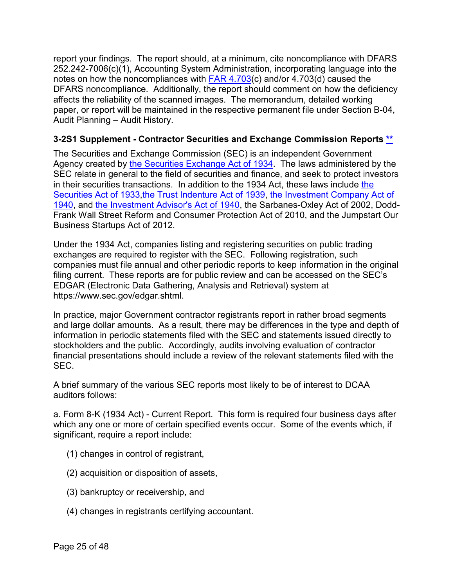report your findings. The report should, at a minimum, cite noncompliance with DFARS 252.242-7006(c)(1), Accounting System Administration, incorporating language into the notes on how the noncompliances with [FAR 4.703\(](http://162.140.57.127/cgi-bin/text-idx?SID=e5369fbe766171fd918b5e9b93699369&mc=true&node=se48.1.4_1703&rgn=div8)c) and/or 4.703(d) caused the DFARS noncompliance. Additionally, the report should comment on how the deficiency affects the reliability of the scanned images. The memorandum, detailed working paper, or report will be maintained in the respective permanent file under Section B-04, Audit Planning – Audit History.

## <span id="page-24-0"></span>**3-2S1 Supplement - Contractor Securities and Exchange Commission Reports [\\*\\*](#page-1-14)**

The Securities and Exchange Commission (SEC) is an independent Government Agency created by [the Securities Exchange Act of 1934.](https://www.sec.gov/about/laws/sea34.pdf) The laws administered by the SEC relate in general to the field of securities and finance, and seek to protect investors in their securities transactions. In addition to the 1934 Act, these laws include [the](https://www.sec.gov/about/laws/sa33.pdf)  [Securities Act of 1933](https://www.sec.gov/about/laws/sa33.pdf)[,the Trust Indenture Act of 1939,](https://www.sec.gov/about/laws/tia39.pdf) [the Investment Company Act of](https://www.sec.gov/about/laws/ica40.pdf)  [1940,](https://www.sec.gov/about/laws/ica40.pdf) and [the Investment Advisor's Act of 1940,](https://www.sec.gov/about/laws/iaa40.pdf) the Sarbanes-Oxley Act of 2002, Dodd-Frank Wall Street Reform and Consumer Protection Act of 2010, and the Jumpstart Our Business Startups Act of 2012.

Under the 1934 Act, companies listing and registering securities on public trading exchanges are required to register with the SEC. Following registration, such companies must file annual and other periodic reports to keep information in the original filing current. These reports are for public review and can be accessed on the SEC's EDGAR (Electronic Data Gathering, Analysis and Retrieval) system at [https://www.sec.gov/edgar.shtml.](https://www.sec.gov/edgar.shtml)

In practice, major Government contractor registrants report in rather broad segments and large dollar amounts. As a result, there may be differences in the type and depth of information in periodic statements filed with the SEC and statements issued directly to stockholders and the public. Accordingly, audits involving evaluation of contractor financial presentations should include a review of the relevant statements filed with the SEC.

A brief summary of the various SEC reports most likely to be of interest to DCAA auditors follows:

a. Form 8-K (1934 Act) - Current Report. This form is required four business days after which any one or more of certain specified events occur. Some of the events which, if significant, require a report include:

- (1) changes in control of registrant,
- (2) acquisition or disposition of assets,
- (3) bankruptcy or receivership, and
- (4) changes in registrants certifying accountant.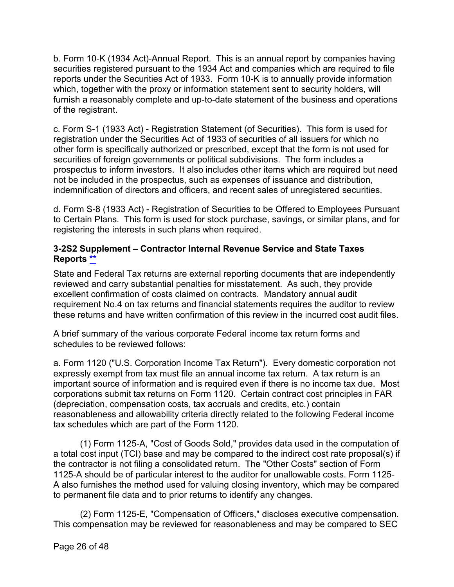b. Form 10-K (1934 Act)-Annual Report. This is an annual report by companies having securities registered pursuant to the 1934 Act and companies which are required to file reports under the Securities Act of 1933. Form 10-K is to annually provide information which, together with the proxy or information statement sent to security holders, will furnish a reasonably complete and up-to-date statement of the business and operations of the registrant.

c. Form S-1 (1933 Act) - Registration Statement (of Securities). This form is used for registration under the Securities Act of 1933 of securities of all issuers for which no other form is specifically authorized or prescribed, except that the form is not used for securities of foreign governments or political subdivisions. The form includes a prospectus to inform investors. It also includes other items which are required but need not be included in the prospectus, such as expenses of issuance and distribution, indemnification of directors and officers, and recent sales of unregistered securities.

d. Form S-8 (1933 Act) - Registration of Securities to be Offered to Employees Pursuant to Certain Plans. This form is used for stock purchase, savings, or similar plans, and for registering the interests in such plans when required.

## <span id="page-25-0"></span>**3-2S2 Supplement – Contractor Internal Revenue Service and State Taxes Reports [\\*\\*](#page-1-15)**

State and Federal Tax returns are external reporting documents that are independently reviewed and carry substantial penalties for misstatement. As such, they provide excellent confirmation of costs claimed on contracts. Mandatory annual audit requirement No.4 on tax returns and financial statements requires the auditor to review these returns and have written confirmation of this review in the incurred cost audit files.

A brief summary of the various corporate Federal income tax return forms and schedules to be reviewed follows:

a. Form 1120 ("U.S. Corporation Income Tax Return"). Every domestic corporation not expressly exempt from tax must file an annual income tax return. A tax return is an important source of information and is required even if there is no income tax due. Most corporations submit tax returns on Form 1120. Certain contract cost principles in FAR (depreciation, compensation costs, tax accruals and credits, etc.) contain reasonableness and allowability criteria directly related to the following Federal income tax schedules which are part of the Form 1120.

(1) Form 1125-A, "Cost of Goods Sold," provides data used in the computation of a total cost input (TCI) base and may be compared to the indirect cost rate proposal(s) if the contractor is not filing a consolidated return. The "Other Costs" section of Form 1125-A should be of particular interest to the auditor for unallowable costs. Form 1125- A also furnishes the method used for valuing closing inventory, which may be compared to permanent file data and to prior returns to identify any changes.

(2) Form 1125-E, "Compensation of Officers," discloses executive compensation. This compensation may be reviewed for reasonableness and may be compared to SEC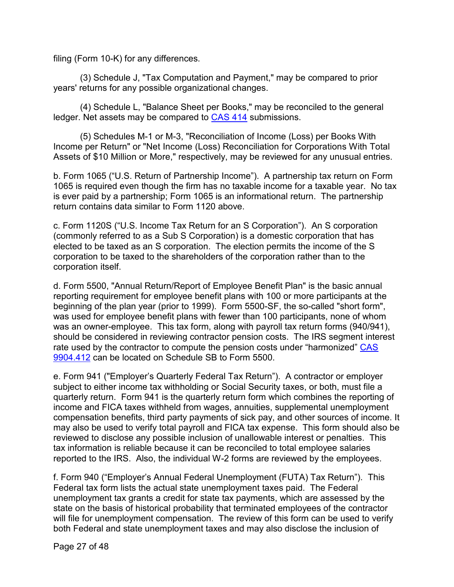filing (Form 10-K) for any differences.

(3) Schedule J, "Tax Computation and Payment," may be compared to prior years' returns for any possible organizational changes.

(4) Schedule L, "Balance Sheet per Books," may be reconciled to the general ledger. Net assets may be compared to [CAS 414](http://162.140.57.127/cgi-bin/text-idx?SID=94013e881784a07be113726dbbfd6b00&mc=true&node=pt48.7.9904&rgn=div5) submissions.

(5) Schedules M-1 or M-3, "Reconciliation of Income (Loss) per Books With Income per Return" or "Net Income (Loss) Reconciliation for Corporations With Total Assets of \$10 Million or More," respectively, may be reviewed for any unusual entries.

b. Form 1065 ("U.S. Return of Partnership Income"). A partnership tax return on Form 1065 is required even though the firm has no taxable income for a taxable year. No tax is ever paid by a partnership; Form 1065 is an informational return. The partnership return contains data similar to Form 1120 above.

c. Form 1120S ("U.S. Income Tax Return for an S Corporation"). An S corporation (commonly referred to as a Sub S Corporation) is a domestic corporation that has elected to be taxed as an S corporation. The election permits the income of the S corporation to be taxed to the shareholders of the corporation rather than to the corporation itself.

d. Form 5500, "Annual Return/Report of Employee Benefit Plan" is the basic annual reporting requirement for employee benefit plans with 100 or more participants at the beginning of the plan year (prior to 1999). Form 5500-SF, the so-called "short form", was used for employee benefit plans with fewer than 100 participants, none of whom was an owner-employee. This tax form, along with payroll tax return forms (940/941), should be considered in reviewing contractor pension costs. The IRS segment interest rate used by the contractor to compute the pension costs under "harmonized" [CAS](http://162.140.57.127/cgi-bin/text-idx?SID=94013e881784a07be113726dbbfd6b00&mc=true&node=pt48.7.9904&rgn=div5)  [9904.412](http://162.140.57.127/cgi-bin/text-idx?SID=94013e881784a07be113726dbbfd6b00&mc=true&node=pt48.7.9904&rgn=div5) can be located on Schedule SB to Form 5500.

e. Form 941 ("Employer's Quarterly Federal Tax Return"). A contractor or employer subject to either income tax withholding or Social Security taxes, or both, must file a quarterly return. Form 941 is the quarterly return form which combines the reporting of income and FICA taxes withheld from wages, annuities, supplemental unemployment compensation benefits, third party payments of sick pay, and other sources of income. It may also be used to verify total payroll and FICA tax expense. This form should also be reviewed to disclose any possible inclusion of unallowable interest or penalties. This tax information is reliable because it can be reconciled to total employee salaries reported to the IRS. Also, the individual W-2 forms are reviewed by the employees.

f. Form 940 ("Employer's Annual Federal Unemployment (FUTA) Tax Return"). This Federal tax form lists the actual state unemployment taxes paid. The Federal unemployment tax grants a credit for state tax payments, which are assessed by the state on the basis of historical probability that terminated employees of the contractor will file for unemployment compensation. The review of this form can be used to verify both Federal and state unemployment taxes and may also disclose the inclusion of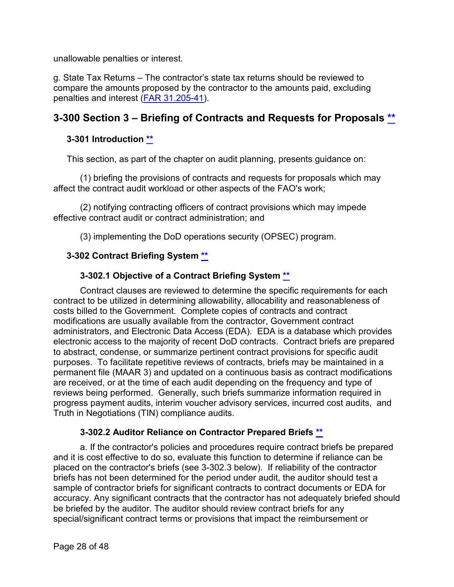unallowable penalties or interest.

g. State Tax Returns – The contractor's state tax returns should be reviewed to compare the amounts proposed by the contractor to the amounts paid, excluding penalties and interest [\(FAR 31.205-41\)](http://162.140.57.127/cgi-bin/text-idx?SID=94013e881784a07be113726dbbfd6b00&mc=true&node=se48.1.31_1205_641&rgn=div8).

## <span id="page-27-0"></span>**3-300 Section 3 – Briefing of Contracts and Requests for Proposals [\\*\\*](#page-1-16)**

## <span id="page-27-1"></span>**3-301 Introduction \*\***

This section, as part of the chapter on audit planning, presents guidance on:

(1) briefing the provisions of contracts and requests for proposals which may affect the contract audit workload or other aspects of the FAO's work;

(2) notifying contracting officers of contract provisions which may impede effective contract audit or contract administration; and

(3) implementing the DoD operations security (OPSEC) program.

## <span id="page-27-2"></span>**3-302 Contract Briefing System [\\*\\*](#page-1-17)**

## **3-302.1 Objective of a Contract Briefing System [\\*\\*](#page-1-18)**

<span id="page-27-3"></span>Contract clauses are reviewed to determine the specific requirements for each contract to be utilized in determining allowability, allocability and reasonableness of costs billed to the Government. Complete copies of contracts and contract modifications are usually available from the contractor, Government contract administrators, and Electronic Data Access (EDA). EDA is a database which provides electronic access to the majority of recent DoD contracts. Contract briefs are prepared to abstract, condense, or summarize pertinent contract provisions for specific audit purposes. To facilitate repetitive reviews of contracts, briefs may be maintained in a permanent file (MAAR 3) and updated on a continuous basis as contract modifications are received, or at the time of each audit depending on the frequency and type of reviews being performed. Generally, such briefs summarize information required in progress payment audits, interim voucher advisory services, incurred cost audits, and Truth in Negotiations (TIN) compliance audits.

## **3-302.2 Auditor Reliance on Contractor Prepared Briefs [\\*\\*](#page-1-19)**

<span id="page-27-4"></span>a. If the contractor's policies and procedures require contract briefs be prepared and it is cost effective to do so, evaluate this function to determine if reliance can be placed on the contractor's briefs (see 3-302.3 below). If reliability of the contractor briefs has not been determined for the period under audit, the auditor should test a sample of contractor briefs for significant contracts to contract documents or EDA for accuracy. Any significant contracts that the contractor has not adequately briefed should be briefed by the auditor. The auditor should review contract briefs for any special/significant contract terms or provisions that impact the reimbursement or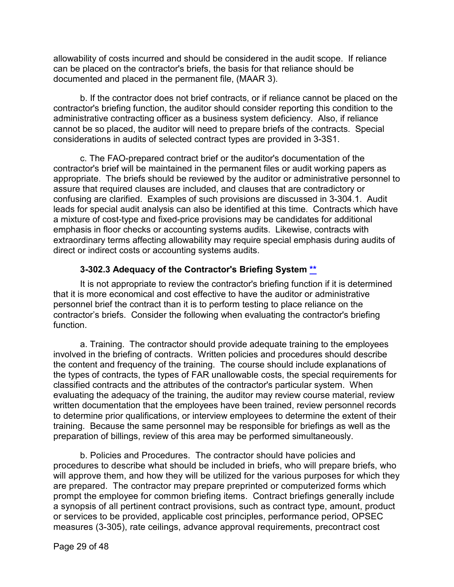allowability of costs incurred and should be considered in the audit scope. If reliance can be placed on the contractor's briefs, the basis for that reliance should be documented and placed in the permanent file, (MAAR 3).

b. If the contractor does not brief contracts, or if reliance cannot be placed on the contractor's briefing function, the auditor should consider reporting this condition to the administrative contracting officer as a business system deficiency. Also, if reliance cannot be so placed, the auditor will need to prepare briefs of the contracts. Special considerations in audits of selected contract types are provided in 3-3S1.

c. The FAO-prepared contract brief or the auditor's documentation of the contractor's brief will be maintained in the permanent files or audit working papers as appropriate. The briefs should be reviewed by the auditor or administrative personnel to assure that required clauses are included, and clauses that are contradictory or confusing are clarified. Examples of such provisions are discussed in 3-304.1. Audit leads for special audit analysis can also be identified at this time. Contracts which have a mixture of cost-type and fixed-price provisions may be candidates for additional emphasis in floor checks or accounting systems audits. Likewise, contracts with extraordinary terms affecting allowability may require special emphasis during audits of direct or indirect costs or accounting systems audits.

## **3-302.3 Adequacy of the Contractor's Briefing System [\\*\\*](#page-1-20)**

<span id="page-28-0"></span>It is not appropriate to review the contractor's briefing function if it is determined that it is more economical and cost effective to have the auditor or administrative personnel brief the contract than it is to perform testing to place reliance on the contractor's briefs. Consider the following when evaluating the contractor's briefing function.

a. Training. The contractor should provide adequate training to the employees involved in the briefing of contracts. Written policies and procedures should describe the content and frequency of the training. The course should include explanations of the types of contracts, the types of FAR unallowable costs, the special requirements for classified contracts and the attributes of the contractor's particular system. When evaluating the adequacy of the training, the auditor may review course material, review written documentation that the employees have been trained, review personnel records to determine prior qualifications, or interview employees to determine the extent of their training. Because the same personnel may be responsible for briefings as well as the preparation of billings, review of this area may be performed simultaneously.

b. Policies and Procedures. The contractor should have policies and procedures to describe what should be included in briefs, who will prepare briefs, who will approve them, and how they will be utilized for the various purposes for which they are prepared. The contractor may prepare preprinted or computerized forms which prompt the employee for common briefing items. Contract briefings generally include a synopsis of all pertinent contract provisions, such as contract type, amount, product or services to be provided, applicable cost principles, performance period, OPSEC measures (3-305), rate ceilings, advance approval requirements, precontract cost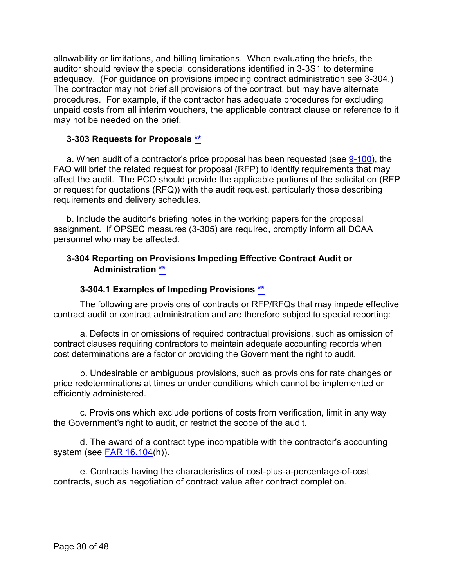allowability or limitations, and billing limitations. When evaluating the briefs, the auditor should review the special considerations identified in 3-3S1 to determine adequacy. (For guidance on provisions impeding contract administration see 3-304.) The contractor may not brief all provisions of the contract, but may have alternate procedures. For example, if the contractor has adequate procedures for excluding unpaid costs from all interim vouchers, the applicable contract clause or reference to it may not be needed on the brief.

## <span id="page-29-0"></span>**3-303 Requests for Proposals [\\*\\*](#page-1-21)**

a. When audit of a contractor's price proposal has been requested (see [9-100\)](https://viper.dcaa.mil/guidance/cam/3144/audits-of-cost-estimating-and-pricing-proposals#Sec9100), the FAO will brief the related request for proposal (RFP) to identify requirements that may affect the audit. The PCO should provide the applicable portions of the solicitation (RFP or request for quotations (RFQ)) with the audit request, particularly those describing requirements and delivery schedules.

b. Include the auditor's briefing notes in the working papers for the proposal assignment. If OPSEC measures (3-305) are required, promptly inform all DCAA personnel who may be affected.

## <span id="page-29-1"></span>**3-304 Reporting on Provisions Impeding Effective Contract Audit or Administration [\\*\\*](#page-1-22)**

## **3-304.1 Examples of Impeding Provisions [\\*\\*](#page-2-1)**

<span id="page-29-2"></span>The following are provisions of contracts or RFP/RFQs that may impede effective contract audit or contract administration and are therefore subject to special reporting:

a. Defects in or omissions of required contractual provisions, such as omission of contract clauses requiring contractors to maintain adequate accounting records when cost determinations are a factor or providing the Government the right to audit.

b. Undesirable or ambiguous provisions, such as provisions for rate changes or price redeterminations at times or under conditions which cannot be implemented or efficiently administered.

c. Provisions which exclude portions of costs from verification, limit in any way the Government's right to audit, or restrict the scope of the audit.

d. The award of a contract type incompatible with the contractor's accounting system (see [FAR 16.104\(](http://162.140.57.127/cgi-bin/text-idx?SID=b8d436abc1dc0fe51df4f87e910be5b6&mc=true&node=se48.1.16_1104&rgn=div8)h)).

e. Contracts having the characteristics of cost-plus-a-percentage-of-cost contracts, such as negotiation of contract value after contract completion.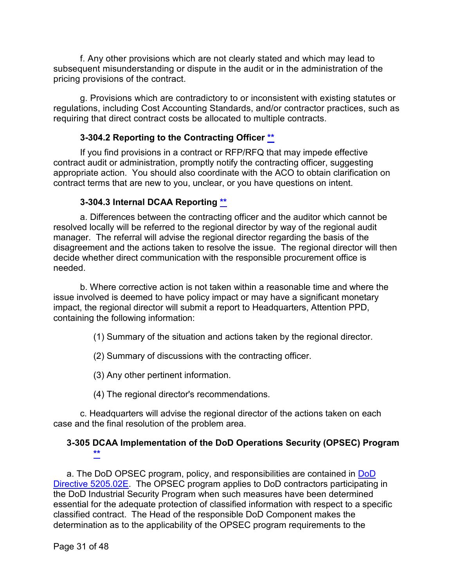f. Any other provisions which are not clearly stated and which may lead to subsequent misunderstanding or dispute in the audit or in the administration of the pricing provisions of the contract.

g. Provisions which are contradictory to or inconsistent with existing statutes or regulations, including Cost Accounting Standards, and/or contractor practices, such as requiring that direct contract costs be allocated to multiple contracts.

## **3-304.2 Reporting to the Contracting Officer [\\*\\*](#page-2-2)**

<span id="page-30-0"></span>If you find provisions in a contract or RFP/RFQ that may impede effective contract audit or administration, promptly notify the contracting officer, suggesting appropriate action. You should also coordinate with the ACO to obtain clarification on contract terms that are new to you, unclear, or you have questions on intent.

## **3-304.3 Internal DCAA Reporting \*\***

<span id="page-30-1"></span>a. Differences between the contracting officer and the auditor which cannot be resolved locally will be referred to the regional director by way of the regional audit manager. The referral will advise the regional director regarding the basis of the disagreement and the actions taken to resolve the issue. The regional director will then decide whether direct communication with the responsible procurement office is needed.

b. Where corrective action is not taken within a reasonable time and where the issue involved is deemed to have policy impact or may have a significant monetary impact, the regional director will submit a report to Headquarters, Attention PPD, containing the following information:

(1) Summary of the situation and actions taken by the regional director.

(2) Summary of discussions with the contracting officer.

(3) Any other pertinent information.

(4) The regional director's recommendations.

c. Headquarters will advise the regional director of the actions taken on each case and the final resolution of the problem area.

## <span id="page-30-2"></span>**3-305 DCAA Implementation of the DoD Operations Security (OPSEC) Program [\\*\\*](#page-2-3)**

a. The [DoD](https://www.esd.whs.mil/Portals/54/Documents/DD/issuances/dodd/520502e.pdf?ver=2018-05-11-103259-050) OPSEC program, policy, and responsibilities are contained in DoD [Directive 5205.02E](https://www.esd.whs.mil/Portals/54/Documents/DD/issuances/dodd/520502e.pdf?ver=2018-05-11-103259-050). The OPSEC program applies to DoD contractors participating in the DoD Industrial Security Program when such measures have been determined essential for the adequate protection of classified information with respect to a specific classified contract. The Head of the responsible DoD Component makes the determination as to the applicability of the OPSEC program requirements to the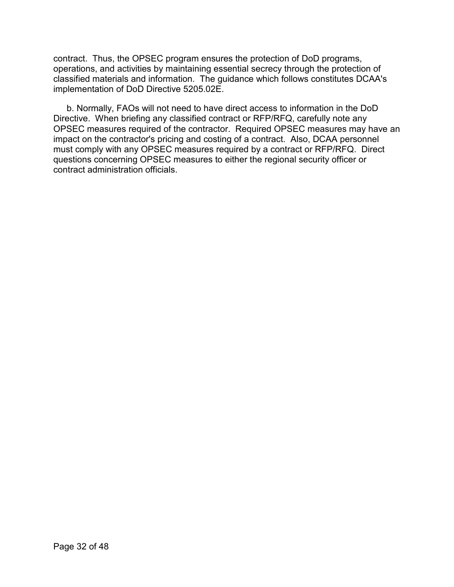contract. Thus, the OPSEC program ensures the protection of DoD programs, operations, and activities by maintaining essential secrecy through the protection of classified materials and information. The guidance which follows constitutes DCAA's implementation of DoD Directive 5205.02E.

b. Normally, FAOs will not need to have direct access to information in the DoD Directive. When briefing any classified contract or RFP/RFQ, carefully note any OPSEC measures required of the contractor. Required OPSEC measures may have an impact on the contractor's pricing and costing of a contract. Also, DCAA personnel must comply with any OPSEC measures required by a contract or RFP/RFQ. Direct questions concerning OPSEC measures to either the regional security officer or contract administration officials.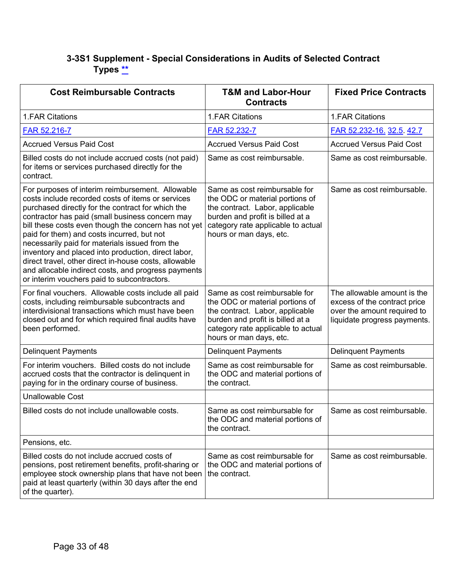## <span id="page-32-0"></span>**3-3S1 Supplement - Special Considerations in Audits of Selected Contract Types [\\*\\*](#page-2-4)**

| <b>Cost Reimbursable Contracts</b>                                                                                                                                                                                                                                                                                                                                                                                                                                                                                                                                                          | <b>T&amp;M and Labor-Hour</b><br><b>Contracts</b>                                                                                                                                                        | <b>Fixed Price Contracts</b>                                                                                               |
|---------------------------------------------------------------------------------------------------------------------------------------------------------------------------------------------------------------------------------------------------------------------------------------------------------------------------------------------------------------------------------------------------------------------------------------------------------------------------------------------------------------------------------------------------------------------------------------------|----------------------------------------------------------------------------------------------------------------------------------------------------------------------------------------------------------|----------------------------------------------------------------------------------------------------------------------------|
| 1.FAR Citations                                                                                                                                                                                                                                                                                                                                                                                                                                                                                                                                                                             | 1.FAR Citations                                                                                                                                                                                          | 1.FAR Citations                                                                                                            |
| FAR 52.216-7                                                                                                                                                                                                                                                                                                                                                                                                                                                                                                                                                                                | FAR 52.232-7                                                                                                                                                                                             | FAR 52.232-16. 32.5. 42.7                                                                                                  |
| <b>Accrued Versus Paid Cost</b>                                                                                                                                                                                                                                                                                                                                                                                                                                                                                                                                                             | <b>Accrued Versus Paid Cost</b>                                                                                                                                                                          | <b>Accrued Versus Paid Cost</b>                                                                                            |
| Billed costs do not include accrued costs (not paid)<br>for items or services purchased directly for the<br>contract.                                                                                                                                                                                                                                                                                                                                                                                                                                                                       | Same as cost reimbursable.                                                                                                                                                                               | Same as cost reimbursable.                                                                                                 |
| For purposes of interim reimbursement. Allowable<br>costs include recorded costs of items or services<br>purchased directly for the contract for which the<br>contractor has paid (small business concern may<br>bill these costs even though the concern has not yet<br>paid for them) and costs incurred, but not<br>necessarily paid for materials issued from the<br>inventory and placed into production, direct labor,<br>direct travel, other direct in-house costs, allowable<br>and allocable indirect costs, and progress payments<br>or interim vouchers paid to subcontractors. | Same as cost reimbursable for<br>the ODC or material portions of<br>the contract. Labor, applicable<br>burden and profit is billed at a<br>category rate applicable to actual<br>hours or man days, etc. | Same as cost reimbursable.                                                                                                 |
| For final vouchers. Allowable costs include all paid<br>costs, including reimbursable subcontracts and<br>interdivisional transactions which must have been<br>closed out and for which required final audits have<br>been performed.                                                                                                                                                                                                                                                                                                                                                       | Same as cost reimbursable for<br>the ODC or material portions of<br>the contract. Labor, applicable<br>burden and profit is billed at a<br>category rate applicable to actual<br>hours or man days, etc. | The allowable amount is the<br>excess of the contract price<br>over the amount required to<br>liquidate progress payments. |
| <b>Delinquent Payments</b>                                                                                                                                                                                                                                                                                                                                                                                                                                                                                                                                                                  | <b>Delinquent Payments</b>                                                                                                                                                                               | <b>Delinquent Payments</b>                                                                                                 |
| For interim vouchers. Billed costs do not include<br>accrued costs that the contractor is delinquent in<br>paying for in the ordinary course of business.                                                                                                                                                                                                                                                                                                                                                                                                                                   | Same as cost reimbursable for<br>the ODC and material portions of<br>the contract.                                                                                                                       | Same as cost reimbursable.                                                                                                 |
| <b>Unallowable Cost</b>                                                                                                                                                                                                                                                                                                                                                                                                                                                                                                                                                                     |                                                                                                                                                                                                          |                                                                                                                            |
| Billed costs do not include unallowable costs.                                                                                                                                                                                                                                                                                                                                                                                                                                                                                                                                              | Same as cost reimbursable for<br>the ODC and material portions of<br>the contract.                                                                                                                       | Same as cost reimbursable.                                                                                                 |
| Pensions, etc.                                                                                                                                                                                                                                                                                                                                                                                                                                                                                                                                                                              |                                                                                                                                                                                                          |                                                                                                                            |
| Billed costs do not include accrued costs of<br>pensions, post retirement benefits, profit-sharing or<br>employee stock ownership plans that have not been<br>paid at least quarterly (within 30 days after the end<br>of the quarter).                                                                                                                                                                                                                                                                                                                                                     | Same as cost reimbursable for<br>the ODC and material portions of<br>the contract.                                                                                                                       | Same as cost reimbursable.                                                                                                 |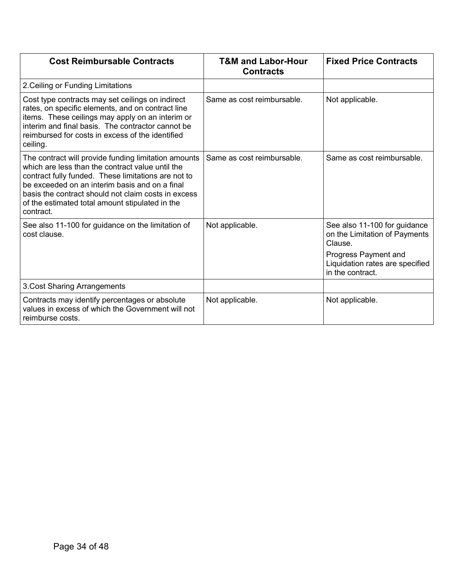| <b>Cost Reimbursable Contracts</b>                                                                                                                                                                                                                                                                                                       | <b>T&amp;M and Labor-Hour</b><br><b>Contracts</b> | <b>Fixed Price Contracts</b>                                                                                                                            |
|------------------------------------------------------------------------------------------------------------------------------------------------------------------------------------------------------------------------------------------------------------------------------------------------------------------------------------------|---------------------------------------------------|---------------------------------------------------------------------------------------------------------------------------------------------------------|
| 2. Ceiling or Funding Limitations                                                                                                                                                                                                                                                                                                        |                                                   |                                                                                                                                                         |
| Cost type contracts may set ceilings on indirect<br>rates, on specific elements, and on contract line<br>items. These ceilings may apply on an interim or<br>interim and final basis. The contractor cannot be<br>reimbursed for costs in excess of the identified<br>ceiling.                                                           | Same as cost reimbursable.                        | Not applicable.                                                                                                                                         |
| The contract will provide funding limitation amounts<br>which are less than the contract value until the<br>contract fully funded. These limitations are not to<br>be exceeded on an interim basis and on a final<br>basis the contract should not claim costs in excess<br>of the estimated total amount stipulated in the<br>contract. | Same as cost reimbursable.                        | Same as cost reimbursable.                                                                                                                              |
| See also 11-100 for guidance on the limitation of<br>cost clause.                                                                                                                                                                                                                                                                        | Not applicable.                                   | See also 11-100 for guidance<br>on the Limitation of Payments<br>Clause.<br>Progress Payment and<br>Liquidation rates are specified<br>in the contract. |
| 3. Cost Sharing Arrangements                                                                                                                                                                                                                                                                                                             |                                                   |                                                                                                                                                         |
| Contracts may identify percentages or absolute<br>values in excess of which the Government will not<br>reimburse costs.                                                                                                                                                                                                                  | Not applicable.                                   | Not applicable.                                                                                                                                         |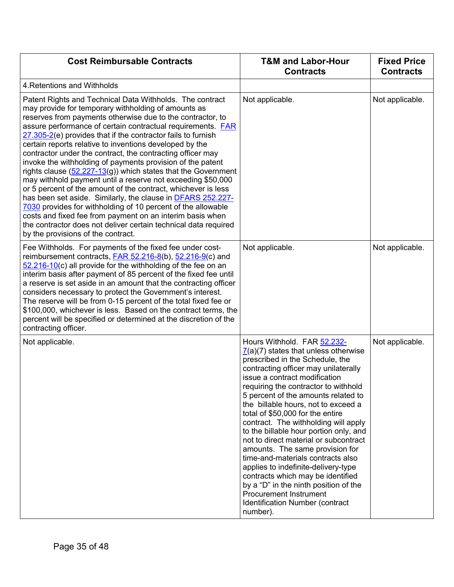| <b>Cost Reimbursable Contracts</b>                                                                                                                                                                                                                                                                                                                                                                                                                                                                                                                                                                                                                                                                                                                                                                                                                                                                                                                                                                                        | <b>T&amp;M and Labor-Hour</b><br><b>Contracts</b>                                                                                                                                                                                                                                                                                                                                                                                                                                                                                                                                                                                                                                                                                                               | <b>Fixed Price</b><br><b>Contracts</b> |
|---------------------------------------------------------------------------------------------------------------------------------------------------------------------------------------------------------------------------------------------------------------------------------------------------------------------------------------------------------------------------------------------------------------------------------------------------------------------------------------------------------------------------------------------------------------------------------------------------------------------------------------------------------------------------------------------------------------------------------------------------------------------------------------------------------------------------------------------------------------------------------------------------------------------------------------------------------------------------------------------------------------------------|-----------------------------------------------------------------------------------------------------------------------------------------------------------------------------------------------------------------------------------------------------------------------------------------------------------------------------------------------------------------------------------------------------------------------------------------------------------------------------------------------------------------------------------------------------------------------------------------------------------------------------------------------------------------------------------------------------------------------------------------------------------------|----------------------------------------|
| 4. Retentions and Withholds                                                                                                                                                                                                                                                                                                                                                                                                                                                                                                                                                                                                                                                                                                                                                                                                                                                                                                                                                                                               |                                                                                                                                                                                                                                                                                                                                                                                                                                                                                                                                                                                                                                                                                                                                                                 |                                        |
| Patent Rights and Technical Data Withholds. The contract<br>may provide for temporary withholding of amounts as<br>reserves from payments otherwise due to the contractor, to<br>assure performance of certain contractual requirements. <b>FAR</b><br>27.305-2(e) provides that if the contractor fails to furnish<br>certain reports relative to inventions developed by the<br>contractor under the contract, the contracting officer may<br>invoke the withholding of payments provision of the patent<br>rights clause $(52.227-13(g))$ which states that the Government<br>may withhold payment until a reserve not exceeding \$50,000<br>or 5 percent of the amount of the contract, whichever is less<br>has been set aside. Similarly, the clause in <b>DFARS 252.227-</b><br>7030 provides for withholding of 10 percent of the allowable<br>costs and fixed fee from payment on an interim basis when<br>the contractor does not deliver certain technical data required<br>by the provisions of the contract. | Not applicable.                                                                                                                                                                                                                                                                                                                                                                                                                                                                                                                                                                                                                                                                                                                                                 | Not applicable.                        |
| Fee Withholds. For payments of the fixed fee under cost-<br>reimbursement contracts, <b>FAR 52.216-8(b)</b> , 52.216-9(c) and<br>$52.216 - 10(c)$ all provide for the withholding of the fee on an<br>interim basis after payment of 85 percent of the fixed fee until<br>a reserve is set aside in an amount that the contracting officer<br>considers necessary to protect the Government's interest.<br>The reserve will be from 0-15 percent of the total fixed fee or<br>\$100,000, whichever is less. Based on the contract terms, the<br>percent will be specified or determined at the discretion of the<br>contracting officer.                                                                                                                                                                                                                                                                                                                                                                                  | Not applicable.                                                                                                                                                                                                                                                                                                                                                                                                                                                                                                                                                                                                                                                                                                                                                 | Not applicable.                        |
| Not applicable.                                                                                                                                                                                                                                                                                                                                                                                                                                                                                                                                                                                                                                                                                                                                                                                                                                                                                                                                                                                                           | Hours Withhold. FAR 52.232-<br>$\overline{7}$ (a)(7) states that unless otherwise<br>prescribed in the Schedule, the<br>contracting officer may unilaterally<br>issue a contract modification<br>requiring the contractor to withhold<br>5 percent of the amounts related to<br>the billable hours, not to exceed a<br>total of \$50,000 for the entire<br>contract. The withholding will apply<br>to the billable hour portion only, and<br>not to direct material or subcontract<br>amounts. The same provision for<br>time-and-materials contracts also<br>applies to indefinite-delivery-type<br>contracts which may be identified<br>by a "D" in the ninth position of the<br><b>Procurement Instrument</b><br>Identification Number (contract<br>number). | Not applicable.                        |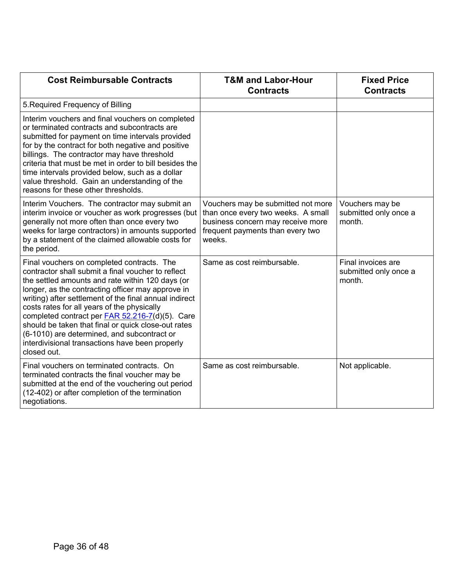| <b>Cost Reimbursable Contracts</b>                                                                                                                                                                                                                                                                                                                                                                                                                                                                                                                    | <b>T&amp;M and Labor-Hour</b><br><b>Contracts</b>                                                                                                           | <b>Fixed Price</b><br><b>Contracts</b>                |
|-------------------------------------------------------------------------------------------------------------------------------------------------------------------------------------------------------------------------------------------------------------------------------------------------------------------------------------------------------------------------------------------------------------------------------------------------------------------------------------------------------------------------------------------------------|-------------------------------------------------------------------------------------------------------------------------------------------------------------|-------------------------------------------------------|
| 5. Required Frequency of Billing                                                                                                                                                                                                                                                                                                                                                                                                                                                                                                                      |                                                                                                                                                             |                                                       |
| Interim vouchers and final vouchers on completed<br>or terminated contracts and subcontracts are<br>submitted for payment on time intervals provided<br>for by the contract for both negative and positive<br>billings. The contractor may have threshold<br>criteria that must be met in order to bill besides the<br>time intervals provided below, such as a dollar<br>value threshold. Gain an understanding of the<br>reasons for these other thresholds.                                                                                        |                                                                                                                                                             |                                                       |
| Interim Vouchers. The contractor may submit an<br>interim invoice or voucher as work progresses (but<br>generally not more often than once every two<br>weeks for large contractors) in amounts supported<br>by a statement of the claimed allowable costs for<br>the period.                                                                                                                                                                                                                                                                         | Vouchers may be submitted not more<br>than once every two weeks. A small<br>business concern may receive more<br>frequent payments than every two<br>weeks. | Vouchers may be<br>submitted only once a<br>month.    |
| Final vouchers on completed contracts. The<br>contractor shall submit a final voucher to reflect<br>the settled amounts and rate within 120 days (or<br>longer, as the contracting officer may approve in<br>writing) after settlement of the final annual indirect<br>costs rates for all years of the physically<br>completed contract per <b>FAR 52.216-7(d)(5)</b> . Care<br>should be taken that final or quick close-out rates<br>(6-1010) are determined, and subcontract or<br>interdivisional transactions have been properly<br>closed out. | Same as cost reimbursable.                                                                                                                                  | Final invoices are<br>submitted only once a<br>month. |
| Final vouchers on terminated contracts. On<br>terminated contracts the final voucher may be<br>submitted at the end of the vouchering out period<br>(12-402) or after completion of the termination<br>negotiations.                                                                                                                                                                                                                                                                                                                                  | Same as cost reimbursable.                                                                                                                                  | Not applicable.                                       |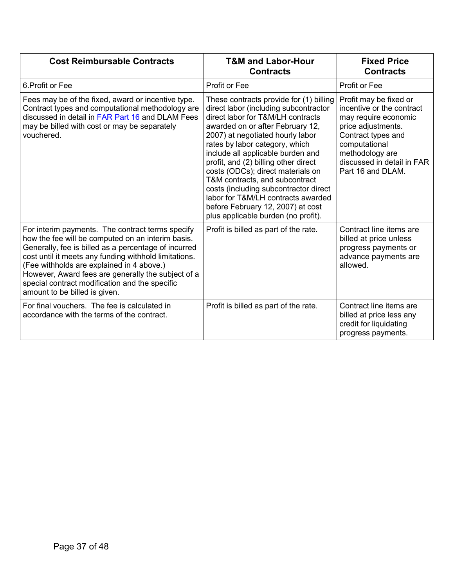| <b>Cost Reimbursable Contracts</b>                                                                                                                                                                                                                                                                                                                                                                           | <b>T&amp;M and Labor-Hour</b><br><b>Contracts</b>                                                                                                                                                                                                                                                                                                                                                                                                                                                                                              | <b>Fixed Price</b><br><b>Contracts</b>                                                                                                                                                                         |
|--------------------------------------------------------------------------------------------------------------------------------------------------------------------------------------------------------------------------------------------------------------------------------------------------------------------------------------------------------------------------------------------------------------|------------------------------------------------------------------------------------------------------------------------------------------------------------------------------------------------------------------------------------------------------------------------------------------------------------------------------------------------------------------------------------------------------------------------------------------------------------------------------------------------------------------------------------------------|----------------------------------------------------------------------------------------------------------------------------------------------------------------------------------------------------------------|
| 6. Profit or Fee                                                                                                                                                                                                                                                                                                                                                                                             | Profit or Fee                                                                                                                                                                                                                                                                                                                                                                                                                                                                                                                                  | Profit or Fee                                                                                                                                                                                                  |
| Fees may be of the fixed, award or incentive type.<br>Contract types and computational methodology are<br>discussed in detail in FAR Part 16 and DLAM Fees<br>may be billed with cost or may be separately<br>vouchered.                                                                                                                                                                                     | These contracts provide for (1) billing<br>direct labor (including subcontractor<br>direct labor for T&M/LH contracts<br>awarded on or after February 12,<br>2007) at negotiated hourly labor<br>rates by labor category, which<br>include all applicable burden and<br>profit, and (2) billing other direct<br>costs (ODCs); direct materials on<br>T&M contracts, and subcontract<br>costs (including subcontractor direct<br>labor for T&M/LH contracts awarded<br>before February 12, 2007) at cost<br>plus applicable burden (no profit). | Profit may be fixed or<br>incentive or the contract<br>may require economic<br>price adjustments.<br>Contract types and<br>computational<br>methodology are<br>discussed in detail in FAR<br>Part 16 and DLAM. |
| For interim payments. The contract terms specify<br>how the fee will be computed on an interim basis.<br>Generally, fee is billed as a percentage of incurred<br>cost until it meets any funding withhold limitations.<br>(Fee withholds are explained in 4 above.)<br>However, Award fees are generally the subject of a<br>special contract modification and the specific<br>amount to be billed is given. | Profit is billed as part of the rate.                                                                                                                                                                                                                                                                                                                                                                                                                                                                                                          | Contract line items are<br>billed at price unless<br>progress payments or<br>advance payments are<br>allowed.                                                                                                  |
| For final vouchers. The fee is calculated in<br>accordance with the terms of the contract.                                                                                                                                                                                                                                                                                                                   | Profit is billed as part of the rate.                                                                                                                                                                                                                                                                                                                                                                                                                                                                                                          | Contract line items are<br>billed at price less any<br>credit for liquidating<br>progress payments.                                                                                                            |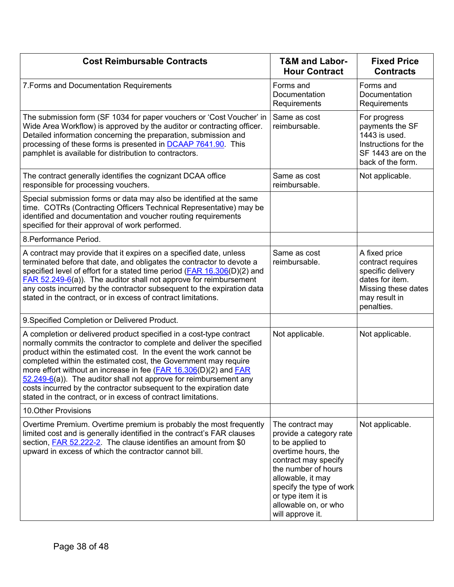| <b>Cost Reimbursable Contracts</b>                                                                                                                                                                                                                                                                                                                                                                                                                                                                                                                                    | <b>T&amp;M and Labor-</b><br><b>Hour Contract</b>                                                                                                                                                                                                        | <b>Fixed Price</b><br><b>Contracts</b>                                                                                           |
|-----------------------------------------------------------------------------------------------------------------------------------------------------------------------------------------------------------------------------------------------------------------------------------------------------------------------------------------------------------------------------------------------------------------------------------------------------------------------------------------------------------------------------------------------------------------------|----------------------------------------------------------------------------------------------------------------------------------------------------------------------------------------------------------------------------------------------------------|----------------------------------------------------------------------------------------------------------------------------------|
| 7. Forms and Documentation Requirements                                                                                                                                                                                                                                                                                                                                                                                                                                                                                                                               | Forms and<br>Documentation<br>Requirements                                                                                                                                                                                                               | Forms and<br>Documentation<br>Requirements                                                                                       |
| The submission form (SF 1034 for paper vouchers or 'Cost Voucher' in<br>Wide Area Workflow) is approved by the auditor or contracting officer.<br>Detailed information concerning the preparation, submission and<br>processing of these forms is presented in <b>DCAAP 7641.90</b> . This<br>pamphlet is available for distribution to contractors.                                                                                                                                                                                                                  | Same as cost<br>reimbursable.                                                                                                                                                                                                                            | For progress<br>payments the SF<br>1443 is used.<br>Instructions for the<br>SF 1443 are on the<br>back of the form.              |
| The contract generally identifies the cognizant DCAA office<br>responsible for processing vouchers.                                                                                                                                                                                                                                                                                                                                                                                                                                                                   | Same as cost<br>reimbursable.                                                                                                                                                                                                                            | Not applicable.                                                                                                                  |
| Special submission forms or data may also be identified at the same<br>time. COTRs (Contracting Officers Technical Representative) may be<br>identified and documentation and voucher routing requirements<br>specified for their approval of work performed.                                                                                                                                                                                                                                                                                                         |                                                                                                                                                                                                                                                          |                                                                                                                                  |
| 8. Performance Period.                                                                                                                                                                                                                                                                                                                                                                                                                                                                                                                                                |                                                                                                                                                                                                                                                          |                                                                                                                                  |
| A contract may provide that it expires on a specified date, unless<br>terminated before that date, and obligates the contractor to devote a<br>specified level of effort for a stated time period (FAR 16.306(D)(2) and<br>FAR 52.249-6(a)). The auditor shall not approve for reimbursement<br>any costs incurred by the contractor subsequent to the expiration data<br>stated in the contract, or in excess of contract limitations.                                                                                                                               | Same as cost<br>reimbursable.                                                                                                                                                                                                                            | A fixed price<br>contract requires<br>specific delivery<br>dates for item.<br>Missing these dates<br>may result in<br>penalties. |
| 9. Specified Completion or Delivered Product.                                                                                                                                                                                                                                                                                                                                                                                                                                                                                                                         |                                                                                                                                                                                                                                                          |                                                                                                                                  |
| A completion or delivered product specified in a cost-type contract<br>normally commits the contractor to complete and deliver the specified<br>product within the estimated cost. In the event the work cannot be<br>completed within the estimated cost, the Government may require<br>more effort without an increase in fee (FAR 16.306(D)(2) and FAR<br>52.249-6(a)). The auditor shall not approve for reimbursement any<br>costs incurred by the contractor subsequent to the expiration date<br>stated in the contract, or in excess of contract limitations. | Not applicable.                                                                                                                                                                                                                                          | Not applicable.                                                                                                                  |
| 10. Other Provisions                                                                                                                                                                                                                                                                                                                                                                                                                                                                                                                                                  |                                                                                                                                                                                                                                                          |                                                                                                                                  |
| Overtime Premium. Overtime premium is probably the most frequently<br>limited cost and is generally identified in the contract's FAR clauses<br>section, <b>FAR 52.222-2</b> . The clause identifies an amount from \$0<br>upward in excess of which the contractor cannot bill.                                                                                                                                                                                                                                                                                      | The contract may<br>provide a category rate<br>to be applied to<br>overtime hours, the<br>contract may specify<br>the number of hours<br>allowable, it may<br>specify the type of work<br>or type item it is<br>allowable on, or who<br>will approve it. | Not applicable.                                                                                                                  |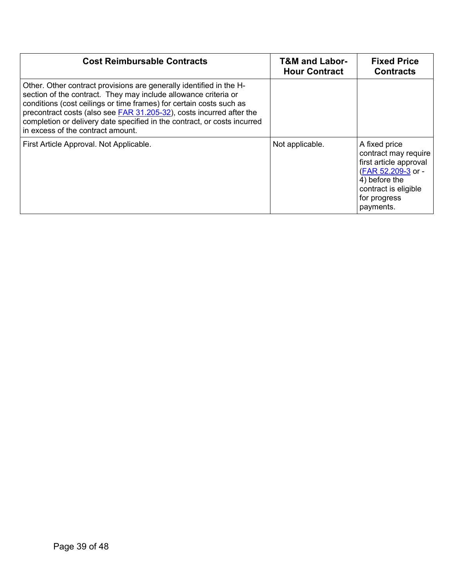<span id="page-38-0"></span>

| <b>Cost Reimbursable Contracts</b>                                                                                                                                                                                                                                                                                                                                                                     | <b>T&amp;M and Labor-</b><br><b>Hour Contract</b> | <b>Fixed Price</b><br><b>Contracts</b>                                                                                                                      |
|--------------------------------------------------------------------------------------------------------------------------------------------------------------------------------------------------------------------------------------------------------------------------------------------------------------------------------------------------------------------------------------------------------|---------------------------------------------------|-------------------------------------------------------------------------------------------------------------------------------------------------------------|
| Other. Other contract provisions are generally identified in the H-<br>section of the contract. They may include allowance criteria or<br>conditions (cost ceilings or time frames) for certain costs such as<br>precontract costs (also see FAR 31.205-32), costs incurred after the<br>completion or delivery date specified in the contract, or costs incurred<br>in excess of the contract amount. |                                                   |                                                                                                                                                             |
| First Article Approval. Not Applicable.                                                                                                                                                                                                                                                                                                                                                                | Not applicable.                                   | A fixed price<br>contract may require<br>first article approval<br>(FAR 52.209-3 or -<br>4) before the<br>contract is eligible<br>for progress<br>payments. |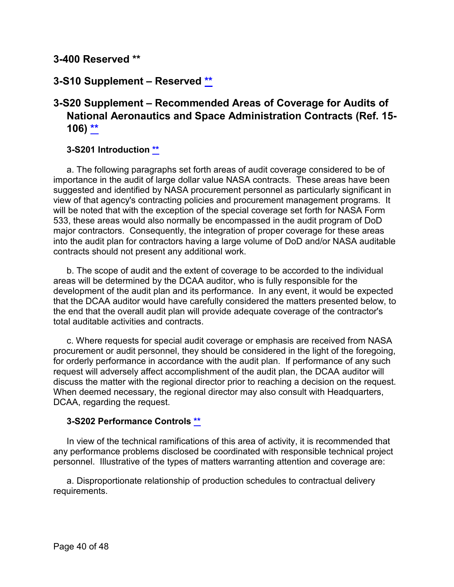## **3-400 Reserved [\\*\\*](#page-2-5)**

## <span id="page-39-0"></span>**3-S10 Supplement – Reserved [\\*\\*](#page-2-6)**

## <span id="page-39-1"></span>**3-S20 Supplement – Recommended Areas of Coverage for Audits of National Aeronautics and Space Administration Contracts (Ref. 15- 106) [\\*\\*](#page-2-7)**

#### <span id="page-39-2"></span>**3-S201 Introduction [\\*\\*](#page-2-8)**

a. The following paragraphs set forth areas of audit coverage considered to be of importance in the audit of large dollar value NASA contracts. These areas have been suggested and identified by NASA procurement personnel as particularly significant in view of that agency's contracting policies and procurement management programs. It will be noted that with the exception of the special coverage set forth for NASA Form 533, these areas would also normally be encompassed in the audit program of DoD major contractors. Consequently, the integration of proper coverage for these areas into the audit plan for contractors having a large volume of DoD and/or NASA auditable contracts should not present any additional work.

b. The scope of audit and the extent of coverage to be accorded to the individual areas will be determined by the DCAA auditor, who is fully responsible for the development of the audit plan and its performance. In any event, it would be expected that the DCAA auditor would have carefully considered the matters presented below, to the end that the overall audit plan will provide adequate coverage of the contractor's total auditable activities and contracts.

c. Where requests for special audit coverage or emphasis are received from NASA procurement or audit personnel, they should be considered in the light of the foregoing, for orderly performance in accordance with the audit plan. If performance of any such request will adversely affect accomplishment of the audit plan, the DCAA auditor will discuss the matter with the regional director prior to reaching a decision on the request. When deemed necessary, the regional director may also consult with Headquarters, DCAA, regarding the request.

#### <span id="page-39-3"></span>**3-S202 Performance Controls [\\*\\*](#page-2-9)**

In view of the technical ramifications of this area of activity, it is recommended that any performance problems disclosed be coordinated with responsible technical project personnel. Illustrative of the types of matters warranting attention and coverage are:

a. Disproportionate relationship of production schedules to contractual delivery requirements.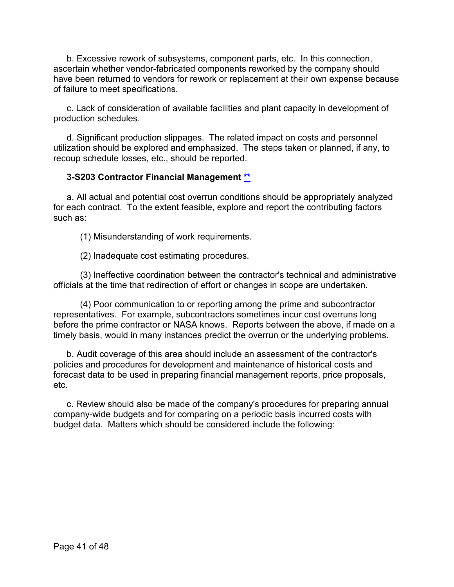b. Excessive rework of subsystems, component parts, etc. In this connection, ascertain whether vendor-fabricated components reworked by the company should have been returned to vendors for rework or replacement at their own expense because of failure to meet specifications.

c. Lack of consideration of available facilities and plant capacity in development of production schedules.

d. Significant production slippages. The related impact on costs and personnel utilization should be explored and emphasized. The steps taken or planned, if any, to recoup schedule losses, etc., should be reported.

## <span id="page-40-0"></span>**3-S203 Contractor Financial Management [\\*\\*](#page-2-10)**

a. All actual and potential cost overrun conditions should be appropriately analyzed for each contract. To the extent feasible, explore and report the contributing factors such as:

(1) Misunderstanding of work requirements.

(2) Inadequate cost estimating procedures.

(3) Ineffective coordination between the contractor's technical and administrative officials at the time that redirection of effort or changes in scope are undertaken.

(4) Poor communication to or reporting among the prime and subcontractor representatives. For example, subcontractors sometimes incur cost overruns long before the prime contractor or NASA knows. Reports between the above, if made on a timely basis, would in many instances predict the overrun or the underlying problems.

b. Audit coverage of this area should include an assessment of the contractor's policies and procedures for development and maintenance of historical costs and forecast data to be used in preparing financial management reports, price proposals, etc.

c. Review should also be made of the company's procedures for preparing annual company-wide budgets and for comparing on a periodic basis incurred costs with budget data. Matters which should be considered include the following: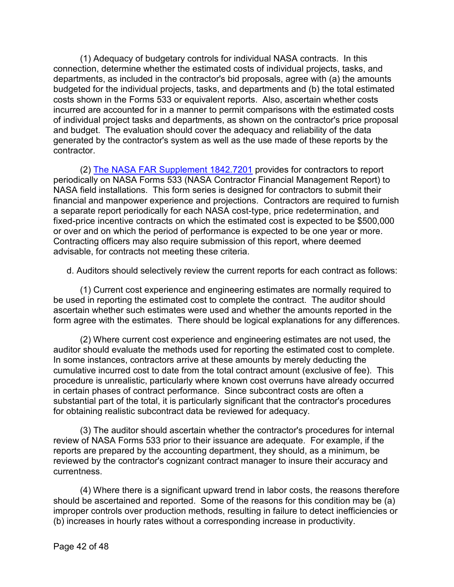(1) Adequacy of budgetary controls for individual NASA contracts. In this connection, determine whether the estimated costs of individual projects, tasks, and departments, as included in the contractor's bid proposals, agree with (a) the amounts budgeted for the individual projects, tasks, and departments and (b) the total estimated costs shown in the Forms 533 or equivalent reports. Also, ascertain whether costs incurred are accounted for in a manner to permit comparisons with the estimated costs of individual project tasks and departments, as shown on the contractor's price proposal and budget. The evaluation should cover the adequacy and reliability of the data generated by the contractor's system as well as the use made of these reports by the contractor.

(2) [The NASA FAR Supplement 1842.7201](https://www.ecfr.gov/cgi-bin/text-idx?SID=b4031ef1f47b7433a0605d97445749dc&mc=true&node=se48.6.1842_17001&rgn=div8) provides for contractors to report periodically on NASA Forms 533 (NASA Contractor Financial Management Report) to NASA field installations. This form series is designed for contractors to submit their financial and manpower experience and projections. Contractors are required to furnish a separate report periodically for each NASA cost-type, price redetermination, and fixed-price incentive contracts on which the estimated cost is expected to be \$500,000 or over and on which the period of performance is expected to be one year or more. Contracting officers may also require submission of this report, where deemed advisable, for contracts not meeting these criteria.

d. Auditors should selectively review the current reports for each contract as follows:

(1) Current cost experience and engineering estimates are normally required to be used in reporting the estimated cost to complete the contract. The auditor should ascertain whether such estimates were used and whether the amounts reported in the form agree with the estimates. There should be logical explanations for any differences.

(2) Where current cost experience and engineering estimates are not used, the auditor should evaluate the methods used for reporting the estimated cost to complete. In some instances, contractors arrive at these amounts by merely deducting the cumulative incurred cost to date from the total contract amount (exclusive of fee). This procedure is unrealistic, particularly where known cost overruns have already occurred in certain phases of contract performance. Since subcontract costs are often a substantial part of the total, it is particularly significant that the contractor's procedures for obtaining realistic subcontract data be reviewed for adequacy.

(3) The auditor should ascertain whether the contractor's procedures for internal review of NASA Forms 533 prior to their issuance are adequate. For example, if the reports are prepared by the accounting department, they should, as a minimum, be reviewed by the contractor's cognizant contract manager to insure their accuracy and currentness.

(4) Where there is a significant upward trend in labor costs, the reasons therefore should be ascertained and reported. Some of the reasons for this condition may be (a) improper controls over production methods, resulting in failure to detect inefficiencies or (b) increases in hourly rates without a corresponding increase in productivity.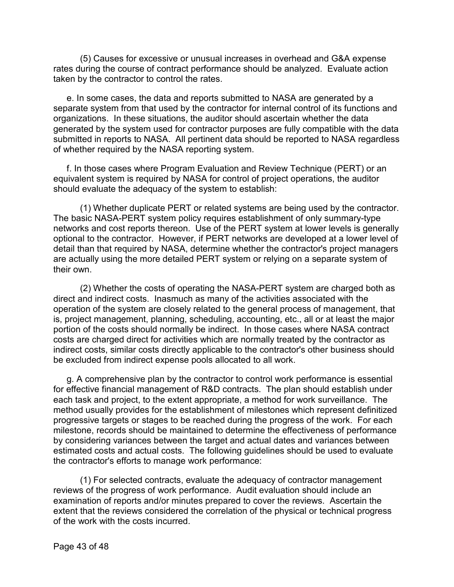(5) Causes for excessive or unusual increases in overhead and G&A expense rates during the course of contract performance should be analyzed. Evaluate action taken by the contractor to control the rates.

e. In some cases, the data and reports submitted to NASA are generated by a separate system from that used by the contractor for internal control of its functions and organizations. In these situations, the auditor should ascertain whether the data generated by the system used for contractor purposes are fully compatible with the data submitted in reports to NASA. All pertinent data should be reported to NASA regardless of whether required by the NASA reporting system.

f. In those cases where Program Evaluation and Review Technique (PERT) or an equivalent system is required by NASA for control of project operations, the auditor should evaluate the adequacy of the system to establish:

(1) Whether duplicate PERT or related systems are being used by the contractor. The basic NASA-PERT system policy requires establishment of only summary-type networks and cost reports thereon. Use of the PERT system at lower levels is generally optional to the contractor. However, if PERT networks are developed at a lower level of detail than that required by NASA, determine whether the contractor's project managers are actually using the more detailed PERT system or relying on a separate system of their own.

(2) Whether the costs of operating the NASA-PERT system are charged both as direct and indirect costs. Inasmuch as many of the activities associated with the operation of the system are closely related to the general process of management, that is, project management, planning, scheduling, accounting, etc., all or at least the major portion of the costs should normally be indirect. In those cases where NASA contract costs are charged direct for activities which are normally treated by the contractor as indirect costs, similar costs directly applicable to the contractor's other business should be excluded from indirect expense pools allocated to all work.

g. A comprehensive plan by the contractor to control work performance is essential for effective financial management of R&D contracts. The plan should establish under each task and project, to the extent appropriate, a method for work surveillance. The method usually provides for the establishment of milestones which represent definitized progressive targets or stages to be reached during the progress of the work. For each milestone, records should be maintained to determine the effectiveness of performance by considering variances between the target and actual dates and variances between estimated costs and actual costs. The following guidelines should be used to evaluate the contractor's efforts to manage work performance:

(1) For selected contracts, evaluate the adequacy of contractor management reviews of the progress of work performance. Audit evaluation should include an examination of reports and/or minutes prepared to cover the reviews. Ascertain the extent that the reviews considered the correlation of the physical or technical progress of the work with the costs incurred.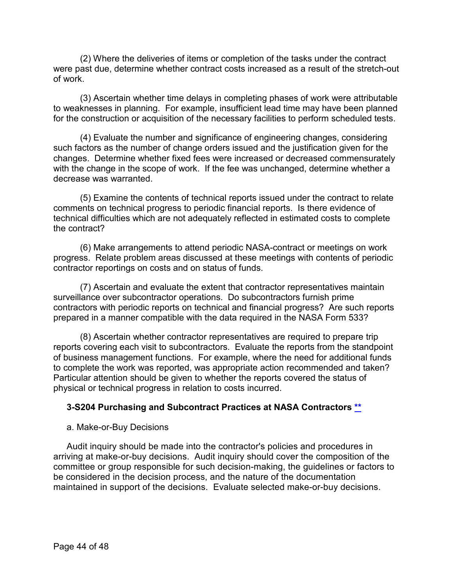(2) Where the deliveries of items or completion of the tasks under the contract were past due, determine whether contract costs increased as a result of the stretch-out of work.

(3) Ascertain whether time delays in completing phases of work were attributable to weaknesses in planning. For example, insufficient lead time may have been planned for the construction or acquisition of the necessary facilities to perform scheduled tests.

(4) Evaluate the number and significance of engineering changes, considering such factors as the number of change orders issued and the justification given for the changes. Determine whether fixed fees were increased or decreased commensurately with the change in the scope of work. If the fee was unchanged, determine whether a decrease was warranted.

(5) Examine the contents of technical reports issued under the contract to relate comments on technical progress to periodic financial reports. Is there evidence of technical difficulties which are not adequately reflected in estimated costs to complete the contract?

(6) Make arrangements to attend periodic NASA-contract or meetings on work progress. Relate problem areas discussed at these meetings with contents of periodic contractor reportings on costs and on status of funds.

(7) Ascertain and evaluate the extent that contractor representatives maintain surveillance over subcontractor operations. Do subcontractors furnish prime contractors with periodic reports on technical and financial progress? Are such reports prepared in a manner compatible with the data required in the NASA Form 533?

(8) Ascertain whether contractor representatives are required to prepare trip reports covering each visit to subcontractors. Evaluate the reports from the standpoint of business management functions. For example, where the need for additional funds to complete the work was reported, was appropriate action recommended and taken? Particular attention should be given to whether the reports covered the status of physical or technical progress in relation to costs incurred.

## <span id="page-43-0"></span>**3-S204 Purchasing and Subcontract Practices at NASA Contractors [\\*\\*](#page-2-11)**

#### a. Make-or-Buy Decisions

Audit inquiry should be made into the contractor's policies and procedures in arriving at make-or-buy decisions. Audit inquiry should cover the composition of the committee or group responsible for such decision-making, the guidelines or factors to be considered in the decision process, and the nature of the documentation maintained in support of the decisions. Evaluate selected make-or-buy decisions.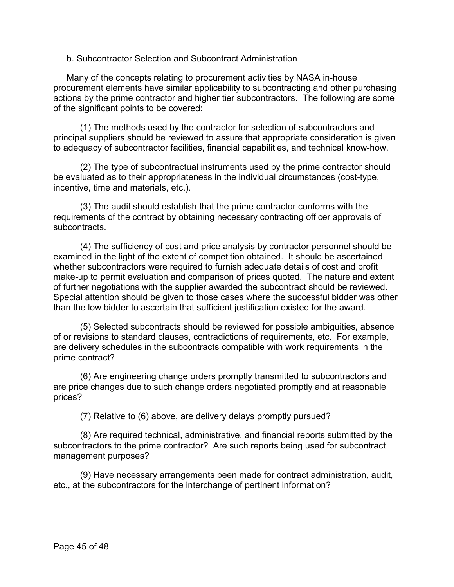b. Subcontractor Selection and Subcontract Administration

Many of the concepts relating to procurement activities by NASA in-house procurement elements have similar applicability to subcontracting and other purchasing actions by the prime contractor and higher tier subcontractors. The following are some of the significant points to be covered:

(1) The methods used by the contractor for selection of subcontractors and principal suppliers should be reviewed to assure that appropriate consideration is given to adequacy of subcontractor facilities, financial capabilities, and technical know-how.

(2) The type of subcontractual instruments used by the prime contractor should be evaluated as to their appropriateness in the individual circumstances (cost-type, incentive, time and materials, etc.).

(3) The audit should establish that the prime contractor conforms with the requirements of the contract by obtaining necessary contracting officer approvals of subcontracts.

(4) The sufficiency of cost and price analysis by contractor personnel should be examined in the light of the extent of competition obtained. It should be ascertained whether subcontractors were required to furnish adequate details of cost and profit make-up to permit evaluation and comparison of prices quoted. The nature and extent of further negotiations with the supplier awarded the subcontract should be reviewed. Special attention should be given to those cases where the successful bidder was other than the low bidder to ascertain that sufficient justification existed for the award.

(5) Selected subcontracts should be reviewed for possible ambiguities, absence of or revisions to standard clauses, contradictions of requirements, etc. For example, are delivery schedules in the subcontracts compatible with work requirements in the prime contract?

(6) Are engineering change orders promptly transmitted to subcontractors and are price changes due to such change orders negotiated promptly and at reasonable prices?

(7) Relative to (6) above, are delivery delays promptly pursued?

(8) Are required technical, administrative, and financial reports submitted by the subcontractors to the prime contractor? Are such reports being used for subcontract management purposes?

(9) Have necessary arrangements been made for contract administration, audit, etc., at the subcontractors for the interchange of pertinent information?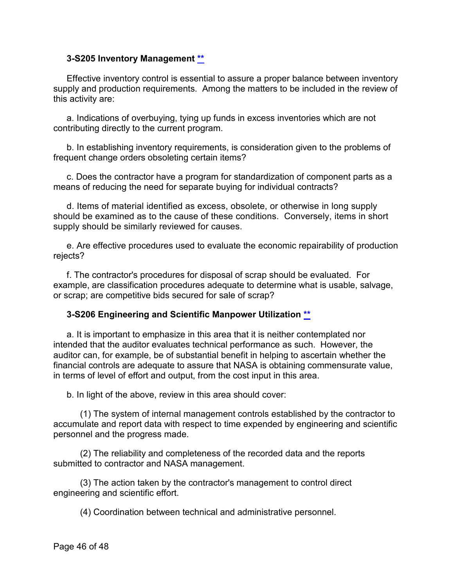#### <span id="page-45-0"></span>**3-S205 Inventory Management [\\*\\*](#page-2-12)**

Effective inventory control is essential to assure a proper balance between inventory supply and production requirements. Among the matters to be included in the review of this activity are:

a. Indications of overbuying, tying up funds in excess inventories which are not contributing directly to the current program.

b. In establishing inventory requirements, is consideration given to the problems of frequent change orders obsoleting certain items?

c. Does the contractor have a program for standardization of component parts as a means of reducing the need for separate buying for individual contracts?

d. Items of material identified as excess, obsolete, or otherwise in long supply should be examined as to the cause of these conditions. Conversely, items in short supply should be similarly reviewed for causes.

e. Are effective procedures used to evaluate the economic repairability of production rejects?

f. The contractor's procedures for disposal of scrap should be evaluated. For example, are classification procedures adequate to determine what is usable, salvage, or scrap; are competitive bids secured for sale of scrap?

#### <span id="page-45-1"></span>**3-S206 Engineering and Scientific Manpower Utilization [\\*\\*](#page-2-13)**

a. It is important to emphasize in this area that it is neither contemplated nor intended that the auditor evaluates technical performance as such. However, the auditor can, for example, be of substantial benefit in helping to ascertain whether the financial controls are adequate to assure that NASA is obtaining commensurate value, in terms of level of effort and output, from the cost input in this area.

b. In light of the above, review in this area should cover:

(1) The system of internal management controls established by the contractor to accumulate and report data with respect to time expended by engineering and scientific personnel and the progress made.

(2) The reliability and completeness of the recorded data and the reports submitted to contractor and NASA management.

(3) The action taken by the contractor's management to control direct engineering and scientific effort.

(4) Coordination between technical and administrative personnel.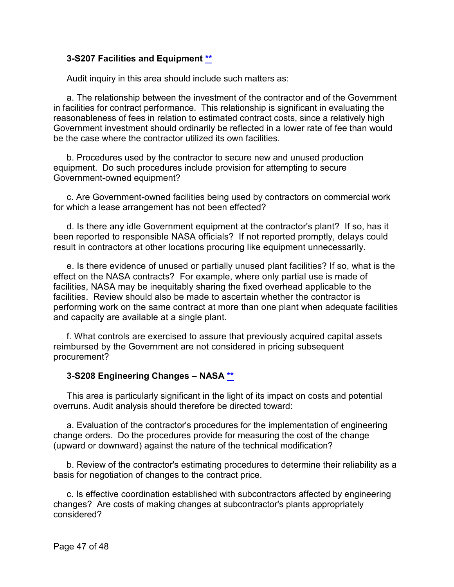#### <span id="page-46-0"></span>**3-S207 Facilities and Equipment [\\*\\*](#page-2-14)**

Audit inquiry in this area should include such matters as:

a. The relationship between the investment of the contractor and of the Government in facilities for contract performance. This relationship is significant in evaluating the reasonableness of fees in relation to estimated contract costs, since a relatively high Government investment should ordinarily be reflected in a lower rate of fee than would be the case where the contractor utilized its own facilities.

b. Procedures used by the contractor to secure new and unused production equipment. Do such procedures include provision for attempting to secure Government-owned equipment?

c. Are Government-owned facilities being used by contractors on commercial work for which a lease arrangement has not been effected?

d. Is there any idle Government equipment at the contractor's plant? If so, has it been reported to responsible NASA officials? If not reported promptly, delays could result in contractors at other locations procuring like equipment unnecessarily.

e. Is there evidence of unused or partially unused plant facilities? If so, what is the effect on the NASA contracts? For example, where only partial use is made of facilities, NASA may be inequitably sharing the fixed overhead applicable to the facilities. Review should also be made to ascertain whether the contractor is performing work on the same contract at more than one plant when adequate facilities and capacity are available at a single plant.

f. What controls are exercised to assure that previously acquired capital assets reimbursed by the Government are not considered in pricing subsequent procurement?

#### <span id="page-46-1"></span>**3-S208 Engineering Changes – NASA [\\*\\*](#page-2-15)**

This area is particularly significant in the light of its impact on costs and potential overruns. Audit analysis should therefore be directed toward:

a. Evaluation of the contractor's procedures for the implementation of engineering change orders. Do the procedures provide for measuring the cost of the change (upward or downward) against the nature of the technical modification?

b. Review of the contractor's estimating procedures to determine their reliability as a basis for negotiation of changes to the contract price.

c. Is effective coordination established with subcontractors affected by engineering changes? Are costs of making changes at subcontractor's plants appropriately considered?